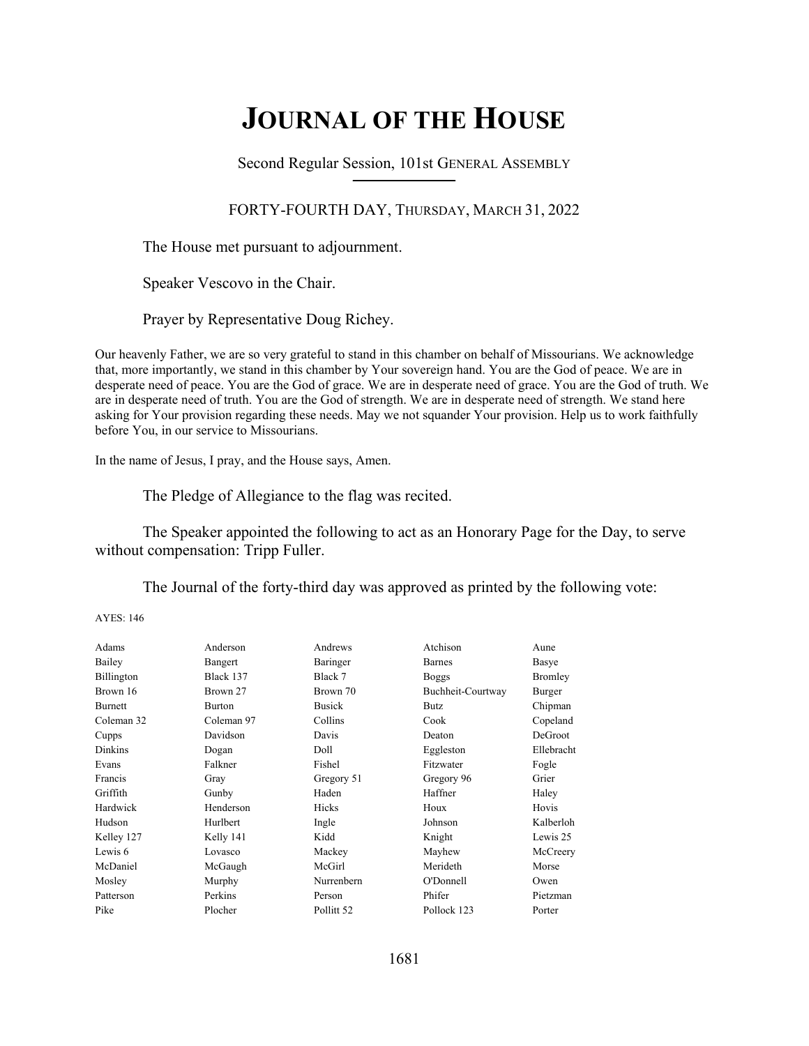# **JOURNAL OF THE HOUSE**

Second Regular Session, 101st GENERAL ASSEMBLY **\_\_\_\_\_\_\_\_\_\_\_\_\_\_\_\_\_\_\_\_\_\_\_\_\_\_**

## FORTY-FOURTH DAY, THURSDAY, MARCH 31, 2022

The House met pursuant to adjournment.

Speaker Vescovo in the Chair.

Prayer by Representative Doug Richey.

Our heavenly Father, we are so very grateful to stand in this chamber on behalf of Missourians. We acknowledge that, more importantly, we stand in this chamber by Your sovereign hand. You are the God of peace. We are in desperate need of peace. You are the God of grace. We are in desperate need of grace. You are the God of truth. We are in desperate need of truth. You are the God of strength. We are in desperate need of strength. We stand here asking for Your provision regarding these needs. May we not squander Your provision. Help us to work faithfully before You, in our service to Missourians.

In the name of Jesus, I pray, and the House says, Amen.

The Pledge of Allegiance to the flag was recited.

The Speaker appointed the following to act as an Honorary Page for the Day, to serve without compensation: Tripp Fuller.

The Journal of the forty-third day was approved as printed by the following vote:

AYES: 146

| Adams          | Anderson      | Andrews               | Atchison          | Aune           |
|----------------|---------------|-----------------------|-------------------|----------------|
| Bailey         | Bangert       | Baringer              | <b>Barnes</b>     | Basye          |
| Billington     | Black 137     | Black 7               | <b>Boggs</b>      | Bromley        |
| Brown 16       | Brown 27      | Brown 70              | Buchheit-Courtway | Burger         |
| <b>Burnett</b> | <b>Burton</b> | <b>Busick</b>         | <b>Butz</b>       | Chipman        |
| Coleman 32     | Coleman 97    | Collins               | Cook              | Copeland       |
| Cupps          | Davidson      | Davis                 | Deaton            | <b>DeGroot</b> |
| <b>Dinkins</b> | Dogan         | Doll                  | Eggleston         | Ellebracht     |
| Evans          | Falkner       | Fishel                | Fitzwater         | Fogle          |
| Francis        | Gray          | Gregory 51            | Gregory 96        | Grier          |
| Griffith       | Gunby         | Haden                 | Haffner           | Haley          |
| Hardwick       | Henderson     | Hicks                 | Houx              | Hovis          |
| Hudson         | Hurlbert      | Ingle                 | Johnson           | Kalberloh      |
| Kelley 127     | Kelly 141     | Kidd                  | Knight            | Lewis 25       |
| Lewis 6        | Lovasco       | Mackey                | Mayhew            | McCreery       |
| McDaniel       | McGaugh       | McGirl                | Merideth          | Morse          |
| Mosley         | Murphy        | Nurrenbern            | O'Donnell         | Owen           |
| Patterson      | Perkins       | Person                | Phifer            | Pietzman       |
| Pike           | Plocher       | Pollitt <sub>52</sub> | Pollock 123       | Porter         |
|                |               |                       |                   |                |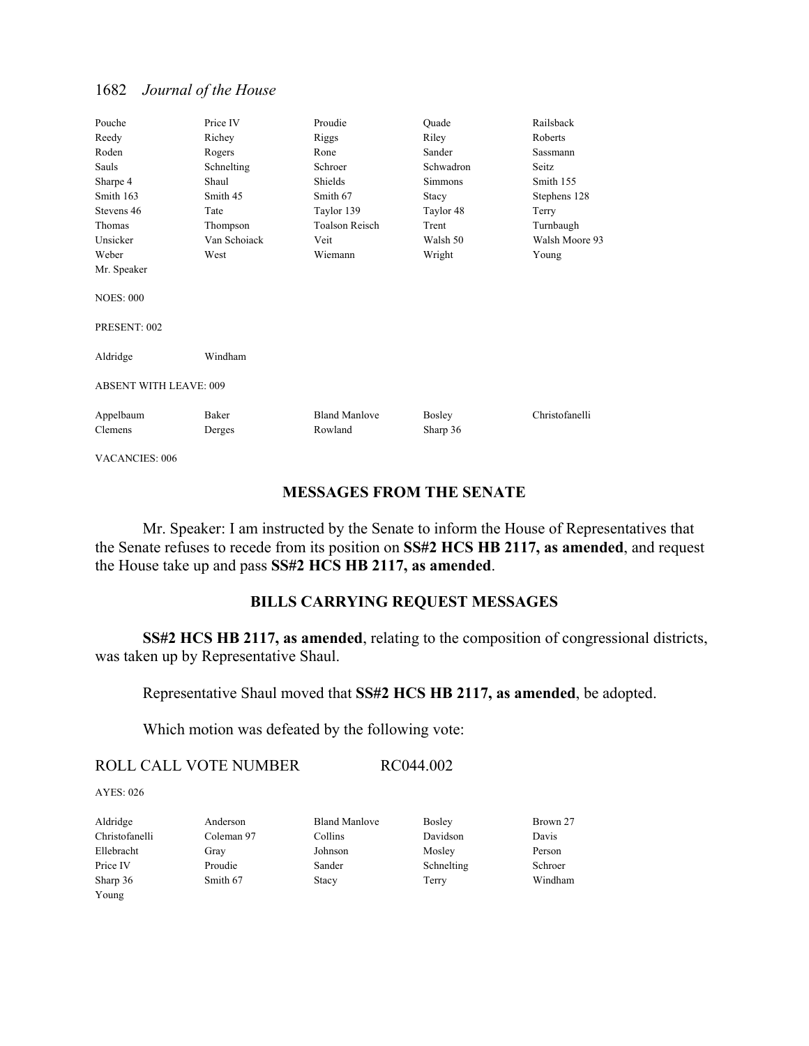| Pouche                        | Price IV        | Proudie                         | Ouade              | Railsback      |
|-------------------------------|-----------------|---------------------------------|--------------------|----------------|
| Reedy                         | Richey          | Riggs                           | Riley              | Roberts        |
| Roden                         | Rogers          | Rone                            | Sander             | Sassmann       |
| Sauls                         | Schnelting      | Schroer                         | Schwadron          | Seitz          |
| Sharpe 4                      | Shaul           | Shields                         | <b>Simmons</b>     | Smith 155      |
| Smith 163                     | Smith 45        | Smith 67                        | Stacy              | Stephens 128   |
| Stevens 46                    | Tate            | Taylor 139                      | Taylor 48          | Terry          |
| Thomas                        | Thompson        | Toalson Reisch                  | Trent              | Turnbaugh      |
| Unsicker                      | Van Schoiack    | Veit                            | Walsh 50           | Walsh Moore 93 |
| Weber                         | West            | Wiemann                         | Wright             | Young          |
| Mr. Speaker                   |                 |                                 |                    |                |
| <b>NOES: 000</b>              |                 |                                 |                    |                |
| PRESENT: 002                  |                 |                                 |                    |                |
| Aldridge                      | Windham         |                                 |                    |                |
| <b>ABSENT WITH LEAVE: 009</b> |                 |                                 |                    |                |
| Appelbaum<br>Clemens          | Baker<br>Derges | <b>Bland Manlove</b><br>Rowland | Bosley<br>Sharp 36 | Christofanelli |

VACANCIES: 006

## **MESSAGES FROM THE SENATE**

 Mr. Speaker: I am instructed by the Senate to inform the House of Representatives that the Senate refuses to recede from its position on **SS#2 HCS HB 2117, as amended**, and request the House take up and pass **SS#2 HCS HB 2117, as amended**.

### **BILLS CARRYING REQUEST MESSAGES**

**SS#2 HCS HB 2117, as amended**, relating to the composition of congressional districts, was taken up by Representative Shaul.

Representative Shaul moved that **SS#2 HCS HB 2117, as amended**, be adopted.

Which motion was defeated by the following vote:

ROLL CALL VOTE NUMBER RC044.002

AYES: 026

| Aldridge       | Anderson   | <b>Bland Manlove</b> | <b>Bosley</b> | Brown 27 |
|----------------|------------|----------------------|---------------|----------|
| Christofanelli | Coleman 97 | Collins              | Davidson      | Davis    |
| Ellebracht     | Gray       | Johnson              | Mosley        | Person   |
| Price IV       | Proudie    | Sander               | Schnelting    | Schroer  |
| Sharp 36       | Smith 67   | Stacy                | Terry         | Windham  |
| Young          |            |                      |               |          |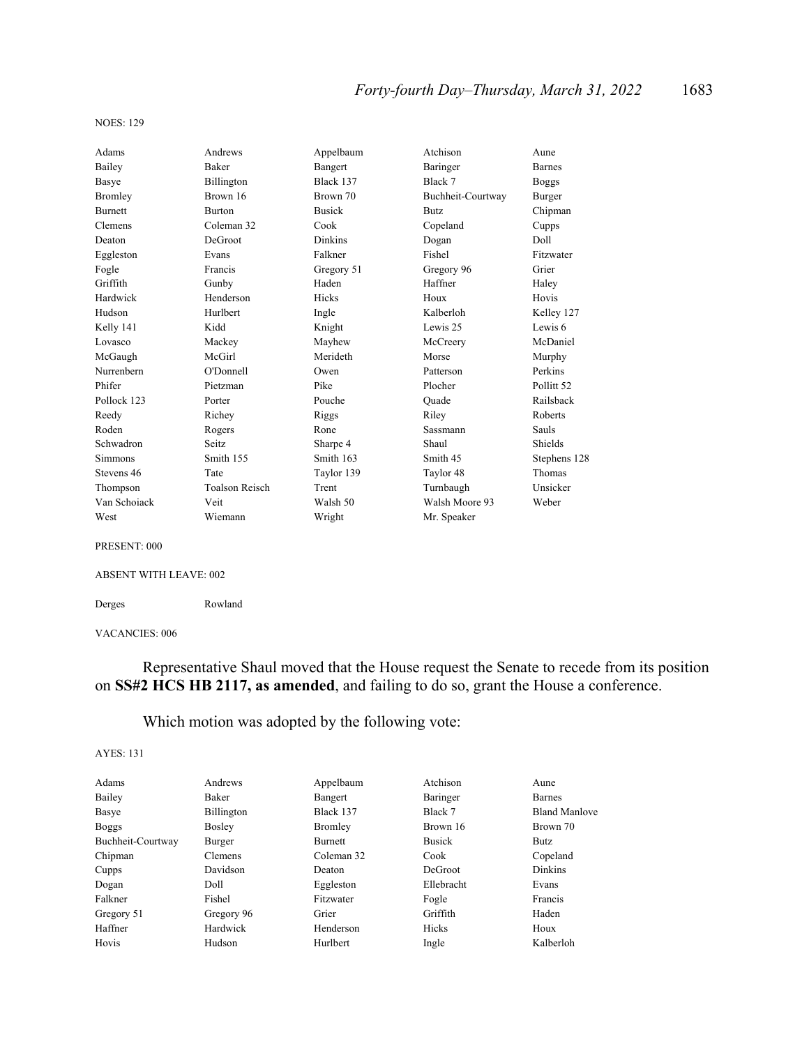#### NOES: 129

| Adams          | Andrews               | Appelbaum      | Atchison          | Aune          |
|----------------|-----------------------|----------------|-------------------|---------------|
| Bailey         | <b>Baker</b>          | Bangert        | Baringer          | <b>Barnes</b> |
| Basye          | Billington            | Black 137      | Black 7           | <b>Boggs</b>  |
| Bromley        | Brown 16              | Brown 70       | Buchheit-Courtway | Burger        |
| <b>Burnett</b> | <b>Burton</b>         | <b>Busick</b>  | <b>Butz</b>       | Chipman       |
| Clemens        | Coleman 32            | Cook           | Copeland          | Cupps         |
| Deaton         | DeGroot               | <b>Dinkins</b> | Dogan             | Doll          |
| Eggleston      | Evans                 | Falkner        | Fishel            | Fitzwater     |
| Fogle          | Francis               | Gregory 51     | Gregory 96        | Grier         |
| Griffith       | Gunby                 | Haden          | Haffner           | Haley         |
| Hardwick       | Henderson             | Hicks          | Houx              | Hovis         |
| Hudson         | Hurlbert              | Ingle          | Kalberloh         | Kelley 127    |
| Kelly 141      | Kidd                  | Knight         | Lewis 25          | Lewis 6       |
| Lovasco        | Mackey                | Mayhew         | McCreery          | McDaniel      |
| McGaugh        | McGirl                | Merideth       | Morse             | Murphy        |
| Nurrenbern     | O'Donnell             | Owen           | Patterson         | Perkins       |
| Phifer         | Pietzman              | Pike           | Plocher           | Pollitt 52    |
| Pollock 123    | Porter                | Pouche         | Ouade             | Railsback     |
| Reedy          | Richey                | Riggs          | Riley             | Roberts       |
| Roden          | Rogers                | Rone           | Sassmann          | <b>Sauls</b>  |
| Schwadron      | Seitz.                | Sharpe 4       | Shaul             | Shields       |
| <b>Simmons</b> | Smith 155             | Smith 163      | Smith 45          | Stephens 128  |
| Stevens 46     | Tate                  | Taylor 139     | Taylor 48         | Thomas        |
| Thompson       | <b>Toalson Reisch</b> | Trent          | Turnbaugh         | Unsicker      |
| Van Schoiack   | Veit                  | Walsh 50       | Walsh Moore 93    | Weber         |
| West           | Wiemann               | Wright         | Mr. Speaker       |               |

#### PRESENT: 000

#### ABSENT WITH LEAVE: 002

Derges Rowland

#### VACANCIES: 006

## Representative Shaul moved that the House request the Senate to recede from its position on **SS#2 HCS HB 2117, as amended**, and failing to do so, grant the House a conference.

## Which motion was adopted by the following vote:

#### AYES: 131

| Andrews        |                | Atchison      | Aune                 |
|----------------|----------------|---------------|----------------------|
| <b>Baker</b>   | Bangert        | Baringer      | <b>Barnes</b>        |
| Billington     | Black 137      | Black 7       | <b>Bland Manlove</b> |
| <b>Bosley</b>  | Bromley        | Brown 16      | Brown 70             |
| Burger         | <b>Burnett</b> | <b>Busick</b> | Butz.                |
| <b>Clemens</b> | Coleman 32     | Cook          | Copeland             |
| Davidson       | Deaton         | DeGroot       | <b>Dinkins</b>       |
| Doll           | Eggleston      | Ellebracht    | Evans                |
| Fishel         | Fitzwater      | Fogle         | Francis              |
| Gregory 96     | Grier          | Griffith      | Haden                |
| Hardwick       | Henderson      | Hicks         | Houx                 |
| Hudson         | Hurlbert       | Ingle         | Kalberloh            |
|                |                | Appelbaum     |                      |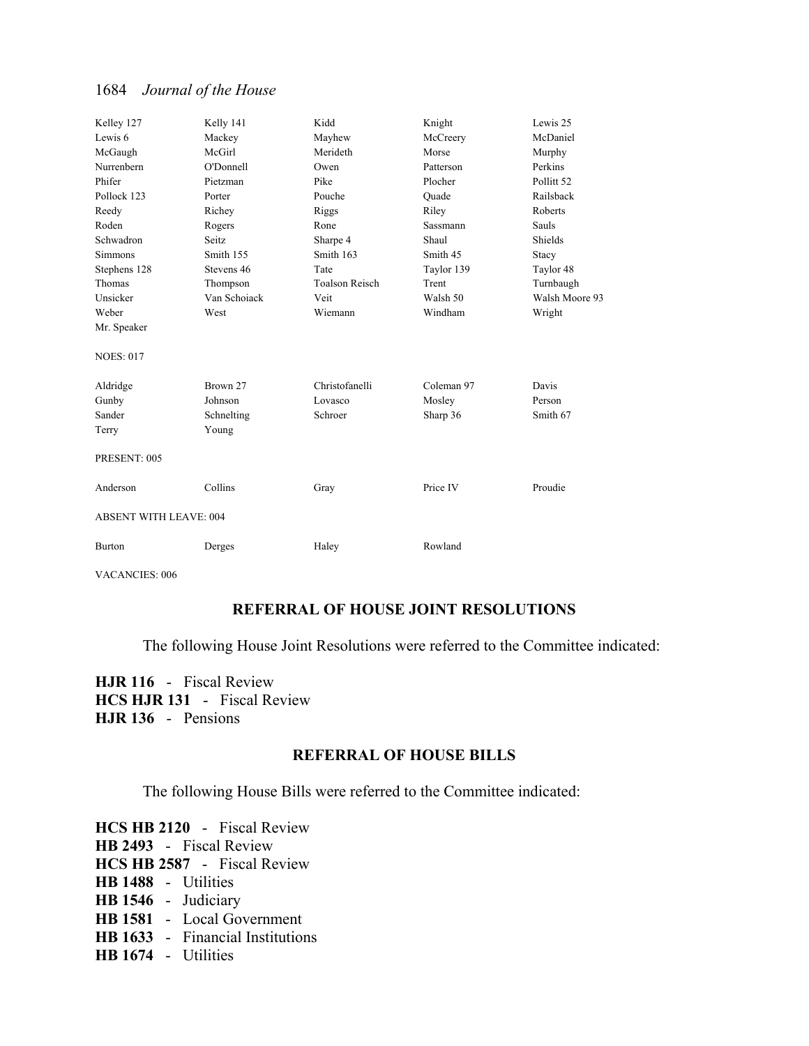| Kelley 127             | Kelly 141    | Kidd                  | Knight     | Lewis 25              |
|------------------------|--------------|-----------------------|------------|-----------------------|
| Lewis 6                | Mackey       | Mayhew                | McCreery   | McDaniel              |
| McGaugh                | McGirl       | Merideth              | Morse      | Murphy                |
| Nurrenbern             | O'Donnell    | Owen                  | Patterson  | Perkins               |
| Phifer                 | Pietzman     | Pike                  | Plocher    | Pollitt <sub>52</sub> |
| Pollock 123            | Porter       | Pouche                | Ouade      | Railsback             |
| Reedy                  | Richey       | Riggs                 | Riley      | Roberts               |
| Roden                  | Rogers       | Rone                  | Sassmann   | <b>Sauls</b>          |
| Schwadron              | Seitz        | Sharpe 4              | Shaul      | Shields               |
| <b>Simmons</b>         | Smith 155    | Smith 163             | Smith 45   | Stacy                 |
| Stephens 128           | Stevens 46   | Tate                  | Taylor 139 | Taylor 48             |
| Thomas                 | Thompson     | <b>Toalson Reisch</b> | Trent      | Turnbaugh             |
| Unsicker               | Van Schoiack | Veit                  | Walsh 50   | Walsh Moore 93        |
| Weber                  | West         | Wiemann               | Windham    | Wright                |
| Mr. Speaker            |              |                       |            |                       |
| <b>NOES: 017</b>       |              |                       |            |                       |
| Aldridge               | Brown 27     | Christofanelli        | Coleman 97 | Davis                 |
| Gunby                  | Johnson      | Lovasco               | Mosley     | Person                |
| Sander                 | Schnelting   | Schroer               | Sharp 36   | Smith 67              |
| Terry                  | Young        |                       |            |                       |
| PRESENT: 005           |              |                       |            |                       |
| Anderson               | Collins      | Gray                  | Price IV   | Proudie               |
| ABSENT WITH LEAVE: 004 |              |                       |            |                       |
| <b>Burton</b>          | Derges       | Haley                 | Rowland    |                       |

VACANCIES: 006

## **REFERRAL OF HOUSE JOINT RESOLUTIONS**

The following House Joint Resolutions were referred to the Committee indicated:

**HJR 116** - Fiscal Review **HCS HJR 131** - Fiscal Review **HJR 136** - Pensions

## **REFERRAL OF HOUSE BILLS**

The following House Bills were referred to the Committee indicated:

**HCS HB 2120** - Fiscal Review **HB 2493** - Fiscal Review **HCS HB 2587** - Fiscal Review **HB 1488** - Utilities **HB 1546** - Judiciary **HB 1581** - Local Government **HB 1633** - Financial Institutions **HB 1674** - Utilities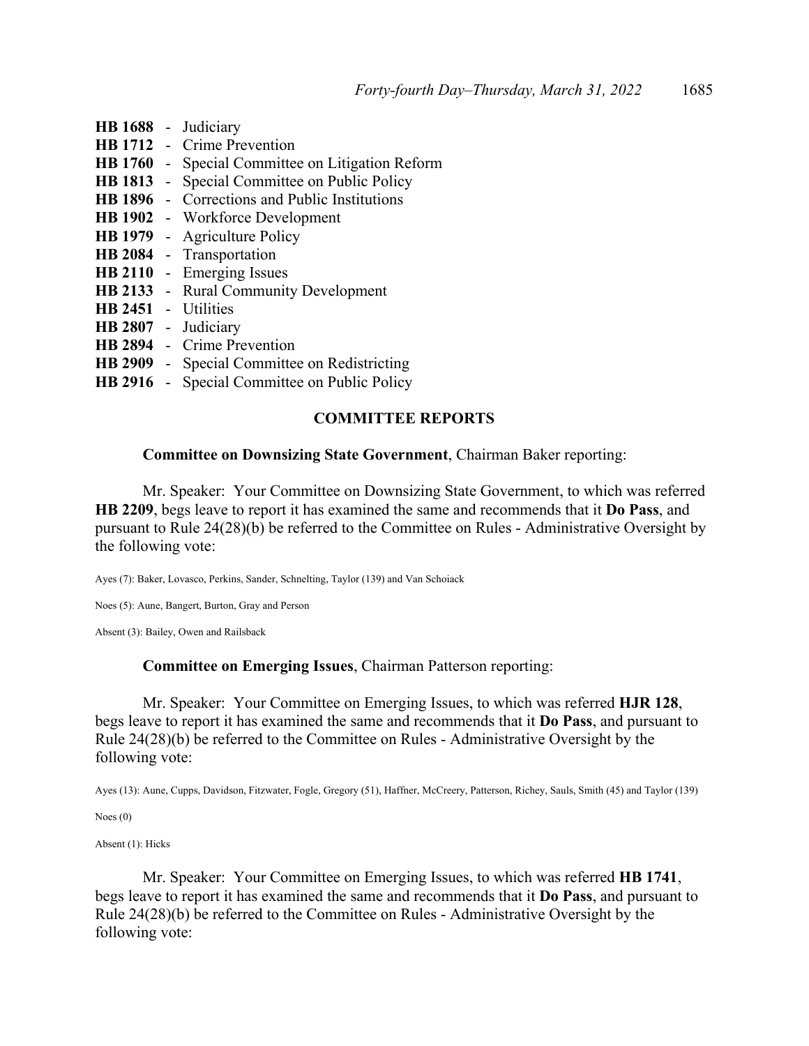|           | HB 1688 - Judiciary                                     |
|-----------|---------------------------------------------------------|
|           | HB 1712 - Crime Prevention                              |
|           | <b>HB 1760</b> - Special Committee on Litigation Reform |
| HB 1813 - | Special Committee on Public Policy                      |
|           | <b>HB 1896</b> - Corrections and Public Institutions    |
|           | <b>HB 1902</b> - Workforce Development                  |
|           | <b>HB 1979</b> - Agriculture Policy                     |
|           | HB 2084 - Transportation                                |
|           | HB 2110 - Emerging Issues                               |
|           | <b>HB 2133</b> - Rural Community Development            |
|           | HB 2451 - Utilities                                     |
|           | HB 2807 - Judiciary                                     |
|           | HB 2894 - Crime Prevention                              |
| HB 2909 - | Special Committee on Redistricting                      |
|           | <b>HB 2916</b> - Special Committee on Public Policy     |
|           |                                                         |

### **COMMITTEE REPORTS**

#### **Committee on Downsizing State Government**, Chairman Baker reporting:

 Mr. Speaker: Your Committee on Downsizing State Government, to which was referred **HB 2209**, begs leave to report it has examined the same and recommends that it **Do Pass**, and pursuant to Rule 24(28)(b) be referred to the Committee on Rules - Administrative Oversight by the following vote:

Ayes (7): Baker, Lovasco, Perkins, Sander, Schnelting, Taylor (139) and Van Schoiack

Noes (5): Aune, Bangert, Burton, Gray and Person

Absent (3): Bailey, Owen and Railsback

#### **Committee on Emerging Issues**, Chairman Patterson reporting:

 Mr. Speaker: Your Committee on Emerging Issues, to which was referred **HJR 128**, begs leave to report it has examined the same and recommends that it **Do Pass**, and pursuant to Rule 24(28)(b) be referred to the Committee on Rules - Administrative Oversight by the following vote:

Ayes (13): Aune, Cupps, Davidson, Fitzwater, Fogle, Gregory (51), Haffner, McCreery, Patterson, Richey, Sauls, Smith (45) and Taylor (139)

Noes (0)

Absent (1): Hicks

 Mr. Speaker: Your Committee on Emerging Issues, to which was referred **HB 1741**, begs leave to report it has examined the same and recommends that it **Do Pass**, and pursuant to Rule 24(28)(b) be referred to the Committee on Rules - Administrative Oversight by the following vote: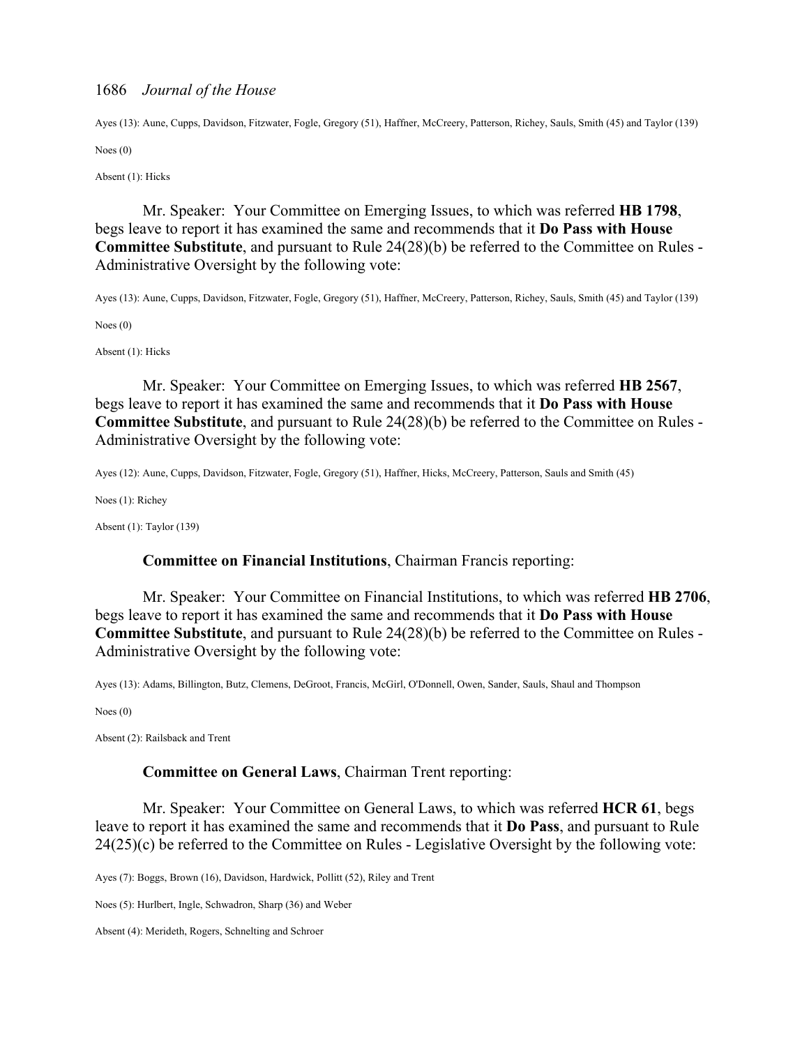Ayes (13): Aune, Cupps, Davidson, Fitzwater, Fogle, Gregory (51), Haffner, McCreery, Patterson, Richey, Sauls, Smith (45) and Taylor (139)

Noes (0)

Absent (1): Hicks

 Mr. Speaker: Your Committee on Emerging Issues, to which was referred **HB 1798**, begs leave to report it has examined the same and recommends that it **Do Pass with House Committee Substitute**, and pursuant to Rule 24(28)(b) be referred to the Committee on Rules - Administrative Oversight by the following vote:

Ayes (13): Aune, Cupps, Davidson, Fitzwater, Fogle, Gregory (51), Haffner, McCreery, Patterson, Richey, Sauls, Smith (45) and Taylor (139)

Noes (0)

Absent (1): Hicks

 Mr. Speaker: Your Committee on Emerging Issues, to which was referred **HB 2567**, begs leave to report it has examined the same and recommends that it **Do Pass with House Committee Substitute**, and pursuant to Rule 24(28)(b) be referred to the Committee on Rules - Administrative Oversight by the following vote:

Ayes (12): Aune, Cupps, Davidson, Fitzwater, Fogle, Gregory (51), Haffner, Hicks, McCreery, Patterson, Sauls and Smith (45)

Noes (1): Richey

Absent (1): Taylor (139)

#### **Committee on Financial Institutions**, Chairman Francis reporting:

 Mr. Speaker: Your Committee on Financial Institutions, to which was referred **HB 2706**, begs leave to report it has examined the same and recommends that it **Do Pass with House Committee Substitute**, and pursuant to Rule 24(28)(b) be referred to the Committee on Rules - Administrative Oversight by the following vote:

Ayes (13): Adams, Billington, Butz, Clemens, DeGroot, Francis, McGirl, O'Donnell, Owen, Sander, Sauls, Shaul and Thompson

Noes (0)

Absent (2): Railsback and Trent

#### **Committee on General Laws**, Chairman Trent reporting:

 Mr. Speaker: Your Committee on General Laws, to which was referred **HCR 61**, begs leave to report it has examined the same and recommends that it **Do Pass**, and pursuant to Rule 24(25)(c) be referred to the Committee on Rules - Legislative Oversight by the following vote:

Ayes (7): Boggs, Brown (16), Davidson, Hardwick, Pollitt (52), Riley and Trent

Noes (5): Hurlbert, Ingle, Schwadron, Sharp (36) and Weber

Absent (4): Merideth, Rogers, Schnelting and Schroer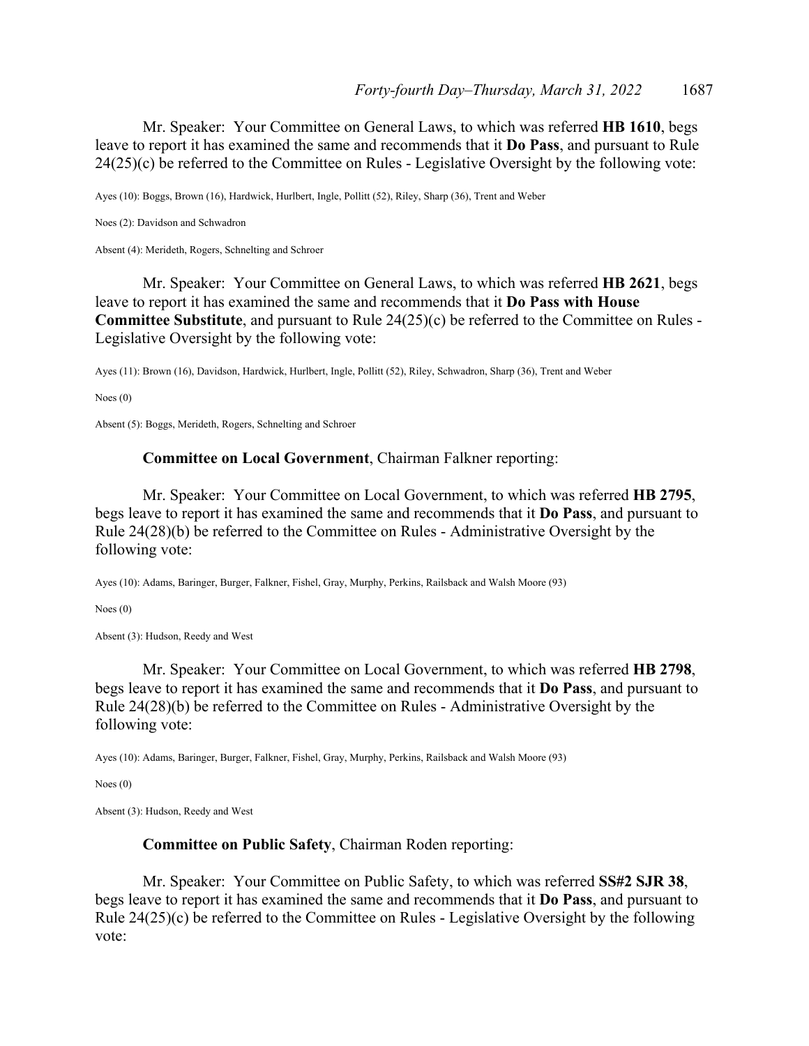Mr. Speaker: Your Committee on General Laws, to which was referred **HB 1610**, begs leave to report it has examined the same and recommends that it **Do Pass**, and pursuant to Rule 24(25)(c) be referred to the Committee on Rules - Legislative Oversight by the following vote:

Ayes (10): Boggs, Brown (16), Hardwick, Hurlbert, Ingle, Pollitt (52), Riley, Sharp (36), Trent and Weber

Noes (2): Davidson and Schwadron

Absent (4): Merideth, Rogers, Schnelting and Schroer

 Mr. Speaker: Your Committee on General Laws, to which was referred **HB 2621**, begs leave to report it has examined the same and recommends that it **Do Pass with House Committee Substitute**, and pursuant to Rule 24(25)(c) be referred to the Committee on Rules - Legislative Oversight by the following vote:

Ayes (11): Brown (16), Davidson, Hardwick, Hurlbert, Ingle, Pollitt (52), Riley, Schwadron, Sharp (36), Trent and Weber

Noes (0)

Absent (5): Boggs, Merideth, Rogers, Schnelting and Schroer

### **Committee on Local Government**, Chairman Falkner reporting:

 Mr. Speaker: Your Committee on Local Government, to which was referred **HB 2795**, begs leave to report it has examined the same and recommends that it **Do Pass**, and pursuant to Rule 24(28)(b) be referred to the Committee on Rules - Administrative Oversight by the following vote:

Ayes (10): Adams, Baringer, Burger, Falkner, Fishel, Gray, Murphy, Perkins, Railsback and Walsh Moore (93)

Noes (0)

Absent (3): Hudson, Reedy and West

 Mr. Speaker: Your Committee on Local Government, to which was referred **HB 2798**, begs leave to report it has examined the same and recommends that it **Do Pass**, and pursuant to Rule 24(28)(b) be referred to the Committee on Rules - Administrative Oversight by the following vote:

Ayes (10): Adams, Baringer, Burger, Falkner, Fishel, Gray, Murphy, Perkins, Railsback and Walsh Moore (93)

Noes (0)

Absent (3): Hudson, Reedy and West

#### **Committee on Public Safety**, Chairman Roden reporting:

 Mr. Speaker: Your Committee on Public Safety, to which was referred **SS#2 SJR 38**, begs leave to report it has examined the same and recommends that it **Do Pass**, and pursuant to Rule 24(25)(c) be referred to the Committee on Rules - Legislative Oversight by the following vote: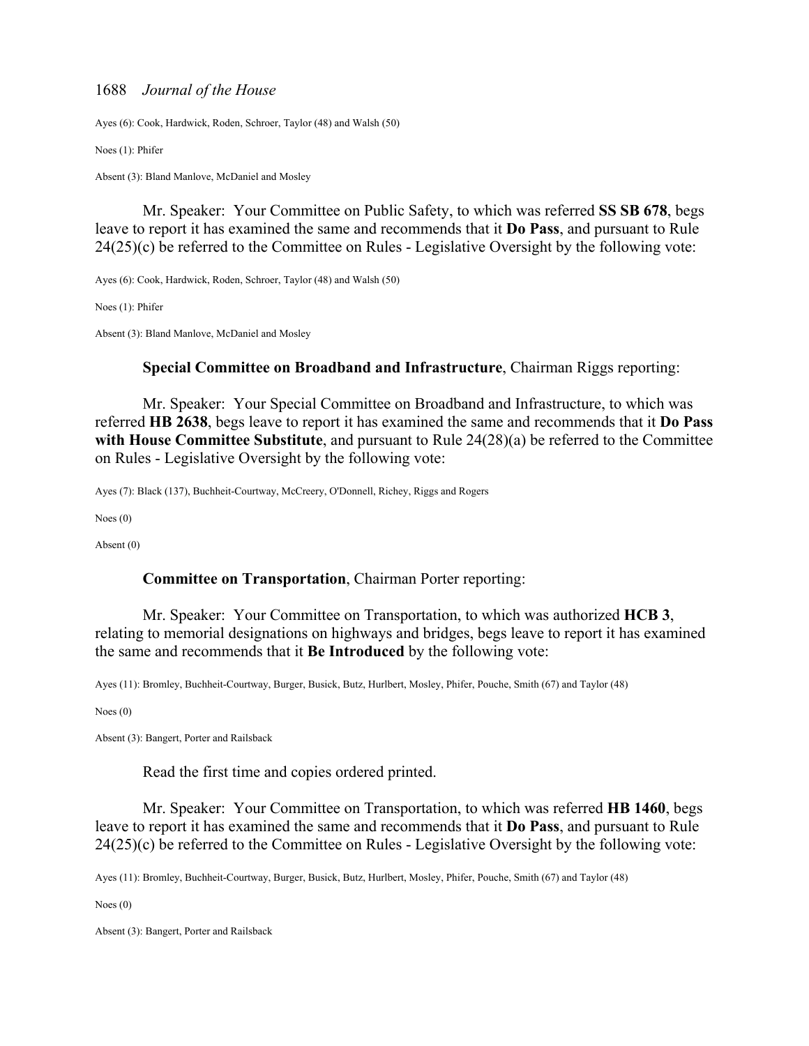Ayes (6): Cook, Hardwick, Roden, Schroer, Taylor (48) and Walsh (50)

Noes (1): Phifer

Absent (3): Bland Manlove, McDaniel and Mosley

 Mr. Speaker: Your Committee on Public Safety, to which was referred **SS SB 678**, begs leave to report it has examined the same and recommends that it **Do Pass**, and pursuant to Rule 24(25)(c) be referred to the Committee on Rules - Legislative Oversight by the following vote:

Ayes (6): Cook, Hardwick, Roden, Schroer, Taylor (48) and Walsh (50)

Noes (1): Phifer

Absent (3): Bland Manlove, McDaniel and Mosley

#### **Special Committee on Broadband and Infrastructure**, Chairman Riggs reporting:

 Mr. Speaker: Your Special Committee on Broadband and Infrastructure, to which was referred **HB 2638**, begs leave to report it has examined the same and recommends that it **Do Pass with House Committee Substitute**, and pursuant to Rule 24(28)(a) be referred to the Committee on Rules - Legislative Oversight by the following vote:

Ayes (7): Black (137), Buchheit-Courtway, McCreery, O'Donnell, Richey, Riggs and Rogers

Noes (0)

Absent (0)

#### **Committee on Transportation**, Chairman Porter reporting:

 Mr. Speaker: Your Committee on Transportation, to which was authorized **HCB 3**, relating to memorial designations on highways and bridges, begs leave to report it has examined the same and recommends that it **Be Introduced** by the following vote:

Ayes (11): Bromley, Buchheit-Courtway, Burger, Busick, Butz, Hurlbert, Mosley, Phifer, Pouche, Smith (67) and Taylor (48)

Noes (0)

Absent (3): Bangert, Porter and Railsback

Read the first time and copies ordered printed.

 Mr. Speaker: Your Committee on Transportation, to which was referred **HB 1460**, begs leave to report it has examined the same and recommends that it **Do Pass**, and pursuant to Rule 24(25)(c) be referred to the Committee on Rules - Legislative Oversight by the following vote:

Ayes (11): Bromley, Buchheit-Courtway, Burger, Busick, Butz, Hurlbert, Mosley, Phifer, Pouche, Smith (67) and Taylor (48)

Noes (0)

Absent (3): Bangert, Porter and Railsback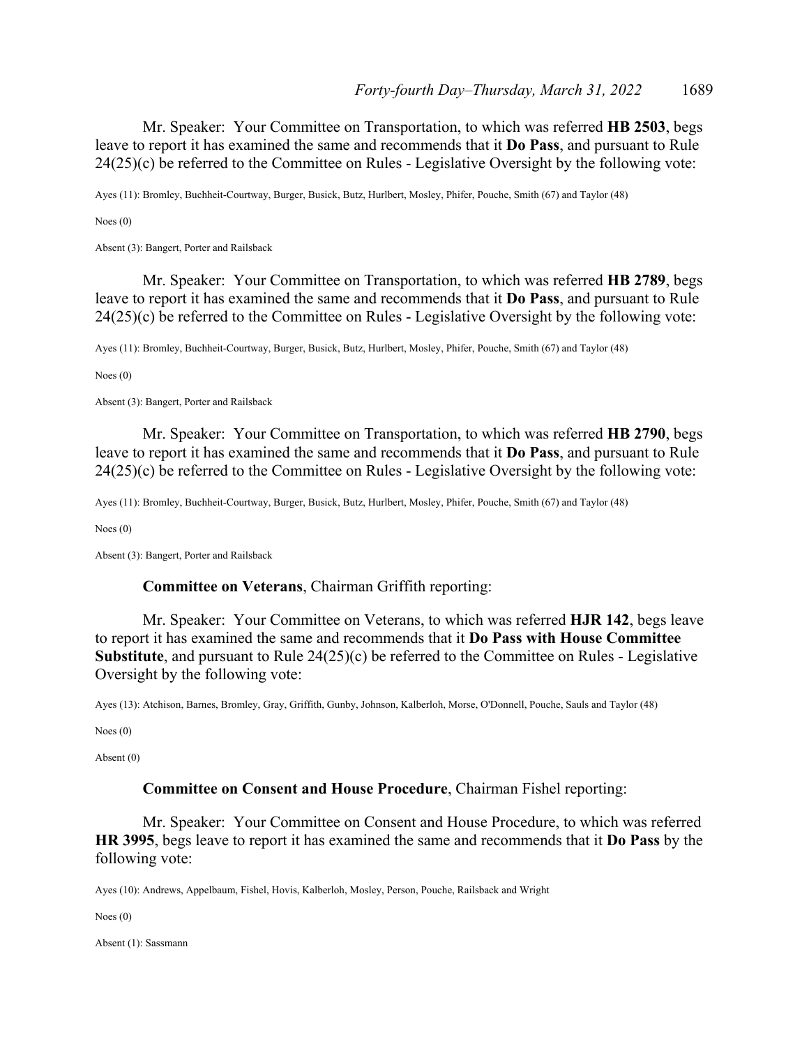Mr. Speaker: Your Committee on Transportation, to which was referred **HB 2503**, begs leave to report it has examined the same and recommends that it **Do Pass**, and pursuant to Rule 24(25)(c) be referred to the Committee on Rules - Legislative Oversight by the following vote:

Ayes (11): Bromley, Buchheit-Courtway, Burger, Busick, Butz, Hurlbert, Mosley, Phifer, Pouche, Smith (67) and Taylor (48)

Noes (0)

Absent (3): Bangert, Porter and Railsback

 Mr. Speaker: Your Committee on Transportation, to which was referred **HB 2789**, begs leave to report it has examined the same and recommends that it **Do Pass**, and pursuant to Rule 24(25)(c) be referred to the Committee on Rules - Legislative Oversight by the following vote:

Ayes (11): Bromley, Buchheit-Courtway, Burger, Busick, Butz, Hurlbert, Mosley, Phifer, Pouche, Smith (67) and Taylor (48)

Noes (0)

Absent (3): Bangert, Porter and Railsback

 Mr. Speaker: Your Committee on Transportation, to which was referred **HB 2790**, begs leave to report it has examined the same and recommends that it **Do Pass**, and pursuant to Rule 24(25)(c) be referred to the Committee on Rules - Legislative Oversight by the following vote:

Ayes (11): Bromley, Buchheit-Courtway, Burger, Busick, Butz, Hurlbert, Mosley, Phifer, Pouche, Smith (67) and Taylor (48)

Noes (0)

Absent (3): Bangert, Porter and Railsback

#### **Committee on Veterans**, Chairman Griffith reporting:

 Mr. Speaker: Your Committee on Veterans, to which was referred **HJR 142**, begs leave to report it has examined the same and recommends that it **Do Pass with House Committee Substitute**, and pursuant to Rule 24(25)(c) be referred to the Committee on Rules - Legislative Oversight by the following vote:

Ayes (13): Atchison, Barnes, Bromley, Gray, Griffith, Gunby, Johnson, Kalberloh, Morse, O'Donnell, Pouche, Sauls and Taylor (48)

Noes (0)

Absent (0)

#### **Committee on Consent and House Procedure**, Chairman Fishel reporting:

 Mr. Speaker: Your Committee on Consent and House Procedure, to which was referred **HR 3995**, begs leave to report it has examined the same and recommends that it **Do Pass** by the following vote:

Ayes (10): Andrews, Appelbaum, Fishel, Hovis, Kalberloh, Mosley, Person, Pouche, Railsback and Wright

Noes (0)

Absent (1): Sassmann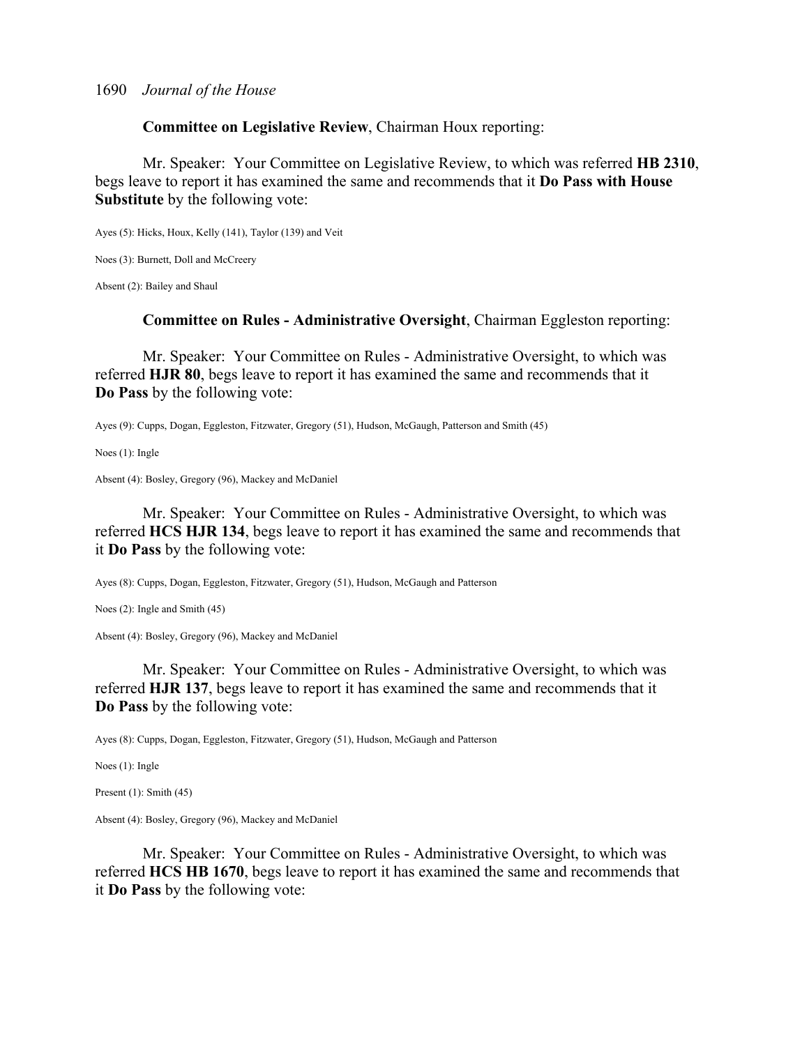**Committee on Legislative Review**, Chairman Houx reporting:

 Mr. Speaker: Your Committee on Legislative Review, to which was referred **HB 2310**, begs leave to report it has examined the same and recommends that it **Do Pass with House Substitute** by the following vote:

Ayes (5): Hicks, Houx, Kelly (141), Taylor (139) and Veit

Noes (3): Burnett, Doll and McCreery

Absent (2): Bailey and Shaul

**Committee on Rules - Administrative Oversight**, Chairman Eggleston reporting:

 Mr. Speaker: Your Committee on Rules - Administrative Oversight, to which was referred **HJR 80**, begs leave to report it has examined the same and recommends that it **Do Pass** by the following vote:

Ayes (9): Cupps, Dogan, Eggleston, Fitzwater, Gregory (51), Hudson, McGaugh, Patterson and Smith (45)

Noes (1): Ingle

Absent (4): Bosley, Gregory (96), Mackey and McDaniel

 Mr. Speaker: Your Committee on Rules - Administrative Oversight, to which was referred **HCS HJR 134**, begs leave to report it has examined the same and recommends that it **Do Pass** by the following vote:

Ayes (8): Cupps, Dogan, Eggleston, Fitzwater, Gregory (51), Hudson, McGaugh and Patterson

Noes (2): Ingle and Smith (45)

Absent (4): Bosley, Gregory (96), Mackey and McDaniel

 Mr. Speaker: Your Committee on Rules - Administrative Oversight, to which was referred **HJR 137**, begs leave to report it has examined the same and recommends that it **Do Pass** by the following vote:

Ayes (8): Cupps, Dogan, Eggleston, Fitzwater, Gregory (51), Hudson, McGaugh and Patterson

Noes (1): Ingle

Present (1): Smith (45)

Absent (4): Bosley, Gregory (96), Mackey and McDaniel

 Mr. Speaker: Your Committee on Rules - Administrative Oversight, to which was referred **HCS HB 1670**, begs leave to report it has examined the same and recommends that it **Do Pass** by the following vote: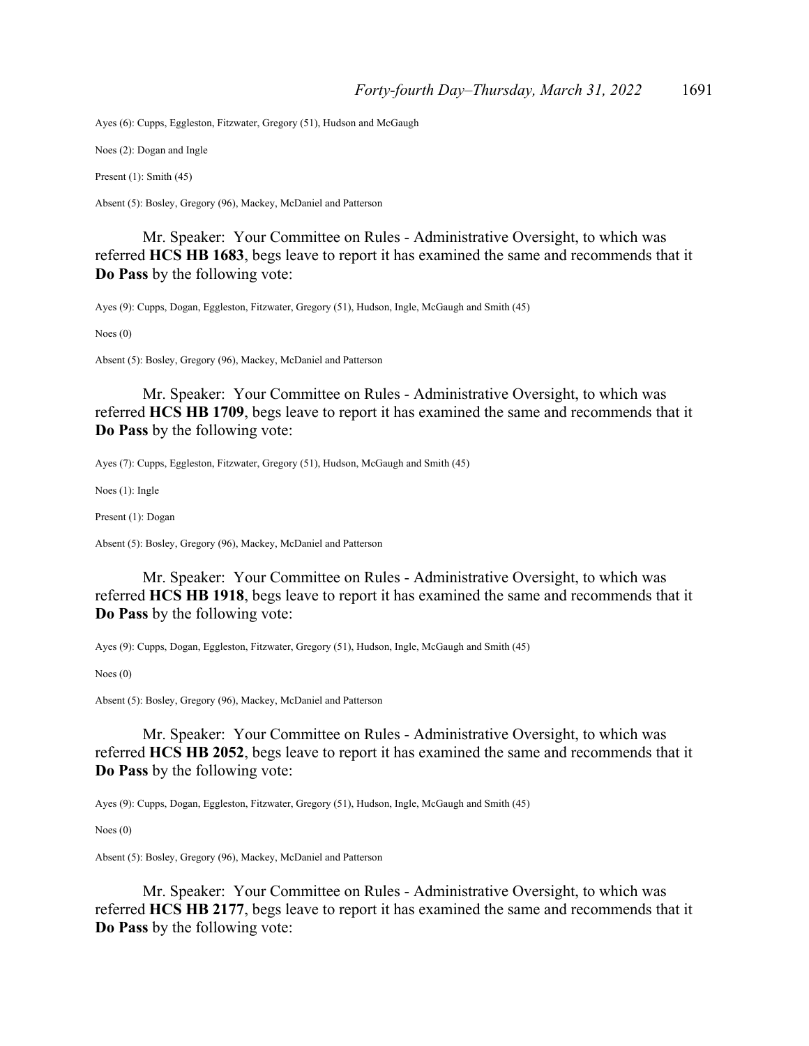Ayes (6): Cupps, Eggleston, Fitzwater, Gregory (51), Hudson and McGaugh

Noes (2): Dogan and Ingle

Present (1): Smith (45)

Absent (5): Bosley, Gregory (96), Mackey, McDaniel and Patterson

 Mr. Speaker: Your Committee on Rules - Administrative Oversight, to which was referred **HCS HB 1683**, begs leave to report it has examined the same and recommends that it **Do Pass** by the following vote:

Ayes (9): Cupps, Dogan, Eggleston, Fitzwater, Gregory (51), Hudson, Ingle, McGaugh and Smith (45)

Noes (0)

Absent (5): Bosley, Gregory (96), Mackey, McDaniel and Patterson

 Mr. Speaker: Your Committee on Rules - Administrative Oversight, to which was referred **HCS HB 1709**, begs leave to report it has examined the same and recommends that it **Do Pass** by the following vote:

Ayes (7): Cupps, Eggleston, Fitzwater, Gregory (51), Hudson, McGaugh and Smith (45)

Noes (1): Ingle

Present (1): Dogan

Absent (5): Bosley, Gregory (96), Mackey, McDaniel and Patterson

 Mr. Speaker: Your Committee on Rules - Administrative Oversight, to which was referred **HCS HB 1918**, begs leave to report it has examined the same and recommends that it **Do Pass** by the following vote:

Ayes (9): Cupps, Dogan, Eggleston, Fitzwater, Gregory (51), Hudson, Ingle, McGaugh and Smith (45)

Noes (0)

Absent (5): Bosley, Gregory (96), Mackey, McDaniel and Patterson

 Mr. Speaker: Your Committee on Rules - Administrative Oversight, to which was referred **HCS HB 2052**, begs leave to report it has examined the same and recommends that it **Do Pass** by the following vote:

Ayes (9): Cupps, Dogan, Eggleston, Fitzwater, Gregory (51), Hudson, Ingle, McGaugh and Smith (45)

Noes (0)

Absent (5): Bosley, Gregory (96), Mackey, McDaniel and Patterson

 Mr. Speaker: Your Committee on Rules - Administrative Oversight, to which was referred **HCS HB 2177**, begs leave to report it has examined the same and recommends that it **Do Pass** by the following vote: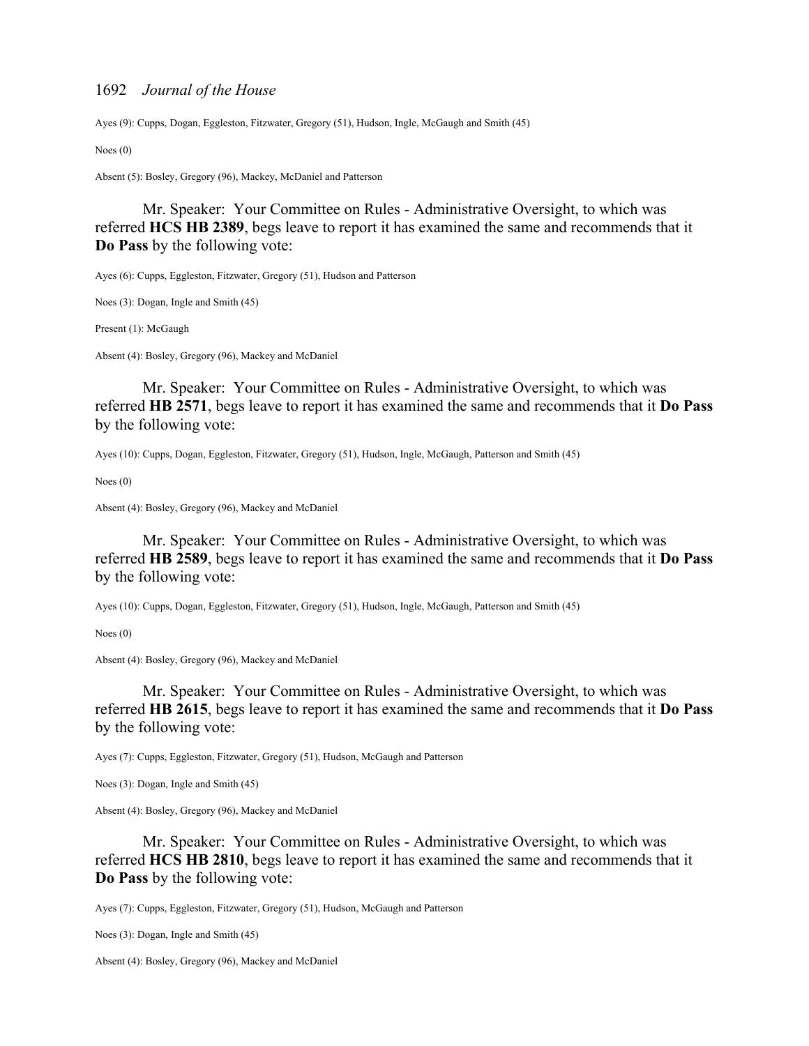Ayes (9): Cupps, Dogan, Eggleston, Fitzwater, Gregory (51), Hudson, Ingle, McGaugh and Smith (45)

Noes (0)

Absent (5): Bosley, Gregory (96), Mackey, McDaniel and Patterson

 Mr. Speaker: Your Committee on Rules - Administrative Oversight, to which was referred **HCS HB 2389**, begs leave to report it has examined the same and recommends that it **Do Pass** by the following vote:

Ayes (6): Cupps, Eggleston, Fitzwater, Gregory (51), Hudson and Patterson

Noes (3): Dogan, Ingle and Smith (45)

Present (1): McGaugh

Absent (4): Bosley, Gregory (96), Mackey and McDaniel

 Mr. Speaker: Your Committee on Rules - Administrative Oversight, to which was referred **HB 2571**, begs leave to report it has examined the same and recommends that it **Do Pass** by the following vote:

Ayes (10): Cupps, Dogan, Eggleston, Fitzwater, Gregory (51), Hudson, Ingle, McGaugh, Patterson and Smith (45)

Noes (0)

Absent (4): Bosley, Gregory (96), Mackey and McDaniel

 Mr. Speaker: Your Committee on Rules - Administrative Oversight, to which was referred **HB 2589**, begs leave to report it has examined the same and recommends that it **Do Pass** by the following vote:

Ayes (10): Cupps, Dogan, Eggleston, Fitzwater, Gregory (51), Hudson, Ingle, McGaugh, Patterson and Smith (45)

Noes (0)

Absent (4): Bosley, Gregory (96), Mackey and McDaniel

 Mr. Speaker: Your Committee on Rules - Administrative Oversight, to which was referred **HB 2615**, begs leave to report it has examined the same and recommends that it **Do Pass** by the following vote:

Ayes (7): Cupps, Eggleston, Fitzwater, Gregory (51), Hudson, McGaugh and Patterson

Noes (3): Dogan, Ingle and Smith (45)

Absent (4): Bosley, Gregory (96), Mackey and McDaniel

 Mr. Speaker: Your Committee on Rules - Administrative Oversight, to which was referred **HCS HB 2810**, begs leave to report it has examined the same and recommends that it **Do Pass** by the following vote:

Ayes (7): Cupps, Eggleston, Fitzwater, Gregory (51), Hudson, McGaugh and Patterson

Noes (3): Dogan, Ingle and Smith (45)

Absent (4): Bosley, Gregory (96), Mackey and McDaniel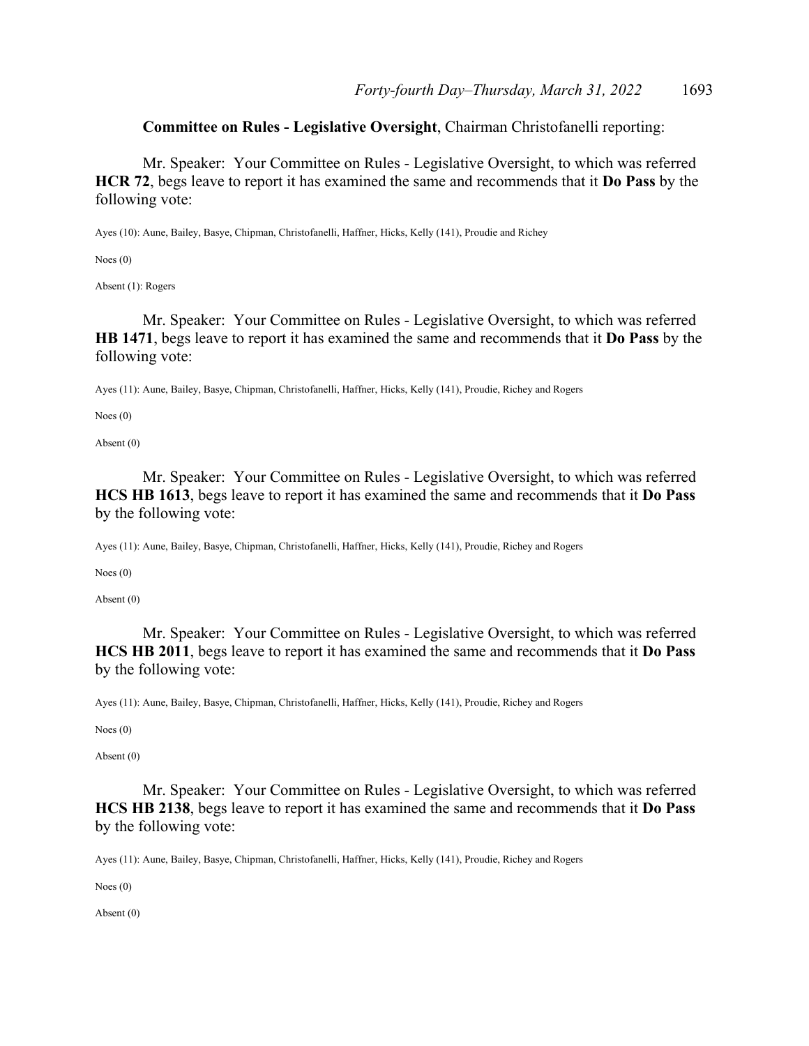**Committee on Rules - Legislative Oversight**, Chairman Christofanelli reporting:

 Mr. Speaker: Your Committee on Rules - Legislative Oversight, to which was referred **HCR 72**, begs leave to report it has examined the same and recommends that it **Do Pass** by the following vote:

Ayes (10): Aune, Bailey, Basye, Chipman, Christofanelli, Haffner, Hicks, Kelly (141), Proudie and Richey

Noes (0)

Absent (1): Rogers

 Mr. Speaker: Your Committee on Rules - Legislative Oversight, to which was referred **HB 1471**, begs leave to report it has examined the same and recommends that it **Do Pass** by the following vote:

Ayes (11): Aune, Bailey, Basye, Chipman, Christofanelli, Haffner, Hicks, Kelly (141), Proudie, Richey and Rogers

Noes (0)

Absent (0)

 Mr. Speaker: Your Committee on Rules - Legislative Oversight, to which was referred **HCS HB 1613**, begs leave to report it has examined the same and recommends that it **Do Pass** by the following vote:

Ayes (11): Aune, Bailey, Basye, Chipman, Christofanelli, Haffner, Hicks, Kelly (141), Proudie, Richey and Rogers

Noes (0)

Absent (0)

 Mr. Speaker: Your Committee on Rules - Legislative Oversight, to which was referred **HCS HB 2011**, begs leave to report it has examined the same and recommends that it **Do Pass** by the following vote:

Ayes (11): Aune, Bailey, Basye, Chipman, Christofanelli, Haffner, Hicks, Kelly (141), Proudie, Richey and Rogers

Noes (0)

Absent (0)

 Mr. Speaker: Your Committee on Rules - Legislative Oversight, to which was referred **HCS HB 2138**, begs leave to report it has examined the same and recommends that it **Do Pass** by the following vote:

Ayes (11): Aune, Bailey, Basye, Chipman, Christofanelli, Haffner, Hicks, Kelly (141), Proudie, Richey and Rogers

Noes (0)

Absent (0)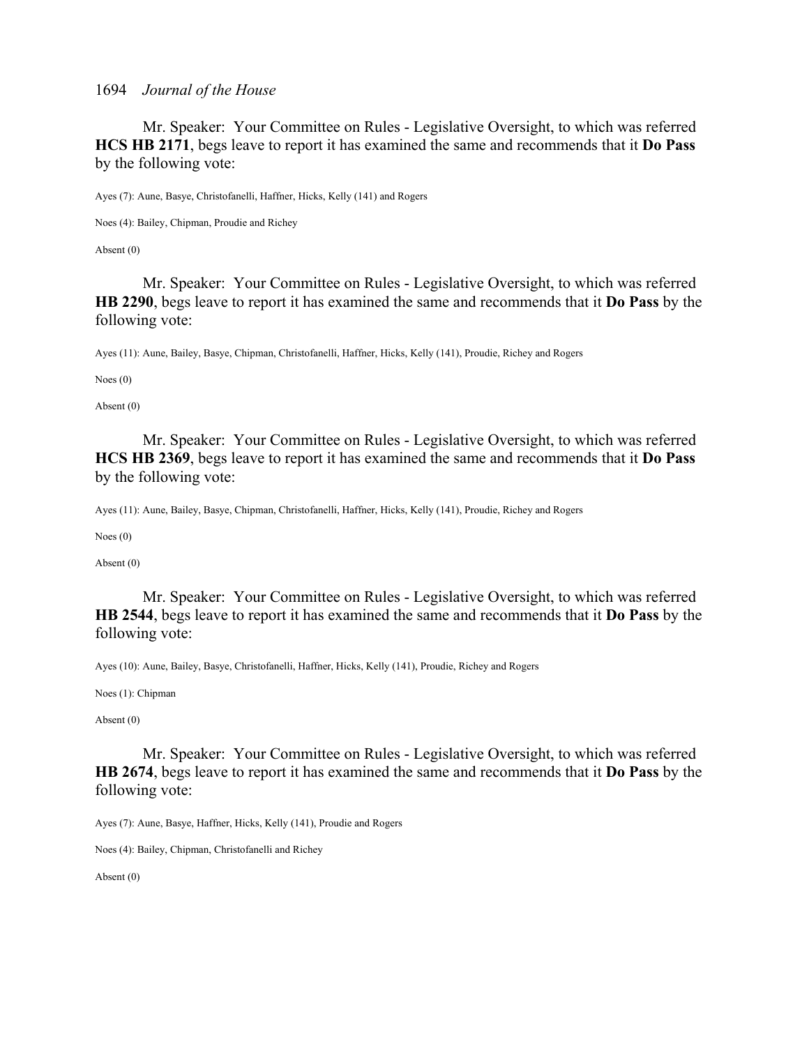Mr. Speaker: Your Committee on Rules - Legislative Oversight, to which was referred **HCS HB 2171**, begs leave to report it has examined the same and recommends that it **Do Pass** by the following vote:

Ayes (7): Aune, Basye, Christofanelli, Haffner, Hicks, Kelly (141) and Rogers

Noes (4): Bailey, Chipman, Proudie and Richey

Absent (0)

 Mr. Speaker: Your Committee on Rules - Legislative Oversight, to which was referred **HB 2290**, begs leave to report it has examined the same and recommends that it **Do Pass** by the following vote:

Ayes (11): Aune, Bailey, Basye, Chipman, Christofanelli, Haffner, Hicks, Kelly (141), Proudie, Richey and Rogers

Noes (0)

Absent (0)

 Mr. Speaker: Your Committee on Rules - Legislative Oversight, to which was referred **HCS HB 2369**, begs leave to report it has examined the same and recommends that it **Do Pass** by the following vote:

Ayes (11): Aune, Bailey, Basye, Chipman, Christofanelli, Haffner, Hicks, Kelly (141), Proudie, Richey and Rogers

Noes (0)

Absent (0)

 Mr. Speaker: Your Committee on Rules - Legislative Oversight, to which was referred **HB 2544**, begs leave to report it has examined the same and recommends that it **Do Pass** by the following vote:

Ayes (10): Aune, Bailey, Basye, Christofanelli, Haffner, Hicks, Kelly (141), Proudie, Richey and Rogers

Noes (1): Chipman

Absent (0)

 Mr. Speaker: Your Committee on Rules - Legislative Oversight, to which was referred **HB 2674**, begs leave to report it has examined the same and recommends that it **Do Pass** by the following vote:

Ayes (7): Aune, Basye, Haffner, Hicks, Kelly (141), Proudie and Rogers

Noes (4): Bailey, Chipman, Christofanelli and Richey

Absent (0)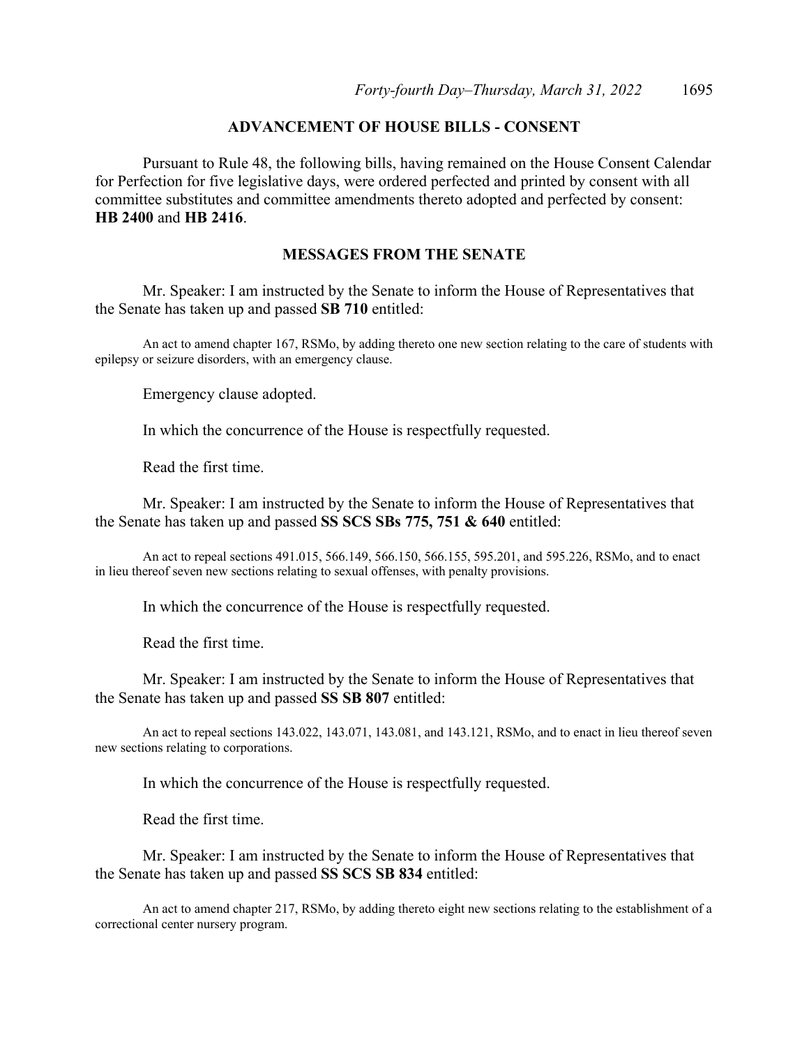# **ADVANCEMENT OF HOUSE BILLS - CONSENT**

 Pursuant to Rule 48, the following bills, having remained on the House Consent Calendar for Perfection for five legislative days, were ordered perfected and printed by consent with all committee substitutes and committee amendments thereto adopted and perfected by consent: **HB 2400** and **HB 2416**.

## **MESSAGES FROM THE SENATE**

 Mr. Speaker: I am instructed by the Senate to inform the House of Representatives that the Senate has taken up and passed **SB 710** entitled:

 An act to amend chapter 167, RSMo, by adding thereto one new section relating to the care of students with epilepsy or seizure disorders, with an emergency clause.

Emergency clause adopted.

In which the concurrence of the House is respectfully requested.

Read the first time.

 Mr. Speaker: I am instructed by the Senate to inform the House of Representatives that the Senate has taken up and passed **SS SCS SBs 775, 751 & 640** entitled:

 An act to repeal sections 491.015, 566.149, 566.150, 566.155, 595.201, and 595.226, RSMo, and to enact in lieu thereof seven new sections relating to sexual offenses, with penalty provisions.

In which the concurrence of the House is respectfully requested.

Read the first time.

 Mr. Speaker: I am instructed by the Senate to inform the House of Representatives that the Senate has taken up and passed **SS SB 807** entitled:

 An act to repeal sections 143.022, 143.071, 143.081, and 143.121, RSMo, and to enact in lieu thereof seven new sections relating to corporations.

In which the concurrence of the House is respectfully requested.

Read the first time.

 Mr. Speaker: I am instructed by the Senate to inform the House of Representatives that the Senate has taken up and passed **SS SCS SB 834** entitled:

 An act to amend chapter 217, RSMo, by adding thereto eight new sections relating to the establishment of a correctional center nursery program.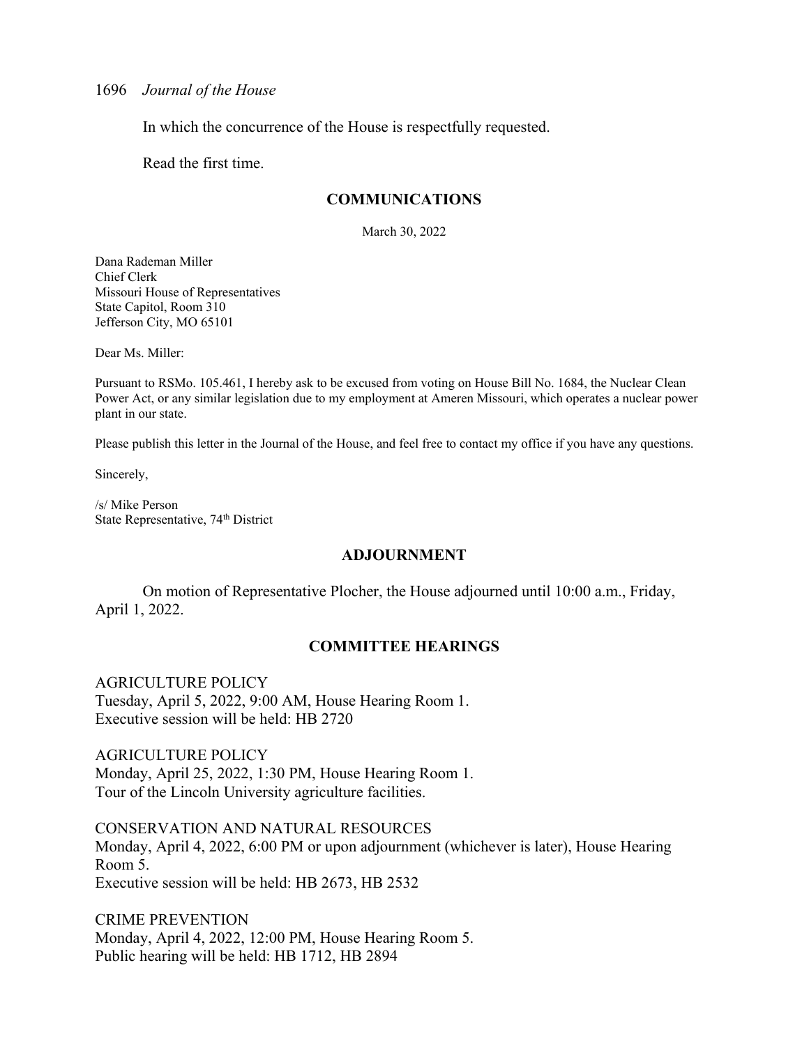In which the concurrence of the House is respectfully requested.

Read the first time.

## **COMMUNICATIONS**

March 30, 2022

Dana Rademan Miller Chief Clerk Missouri House of Representatives State Capitol, Room 310 Jefferson City, MO 65101

Dear Ms. Miller:

Pursuant to RSMo. 105.461, I hereby ask to be excused from voting on House Bill No. 1684, the Nuclear Clean Power Act, or any similar legislation due to my employment at Ameren Missouri, which operates a nuclear power plant in our state.

Please publish this letter in the Journal of the House, and feel free to contact my office if you have any questions.

Sincerely,

/s/ Mike Person State Representative, 74<sup>th</sup> District

### **ADJOURNMENT**

 On motion of Representative Plocher, the House adjourned until 10:00 a.m., Friday, April 1, 2022.

## **COMMITTEE HEARINGS**

#### AGRICULTURE POLICY

Tuesday, April 5, 2022, 9:00 AM, House Hearing Room 1. Executive session will be held: HB 2720

AGRICULTURE POLICY Monday, April 25, 2022, 1:30 PM, House Hearing Room 1. Tour of the Lincoln University agriculture facilities.

CONSERVATION AND NATURAL RESOURCES Monday, April 4, 2022, 6:00 PM or upon adjournment (whichever is later), House Hearing Room 5. Executive session will be held: HB 2673, HB 2532

CRIME PREVENTION Monday, April 4, 2022, 12:00 PM, House Hearing Room 5. Public hearing will be held: HB 1712, HB 2894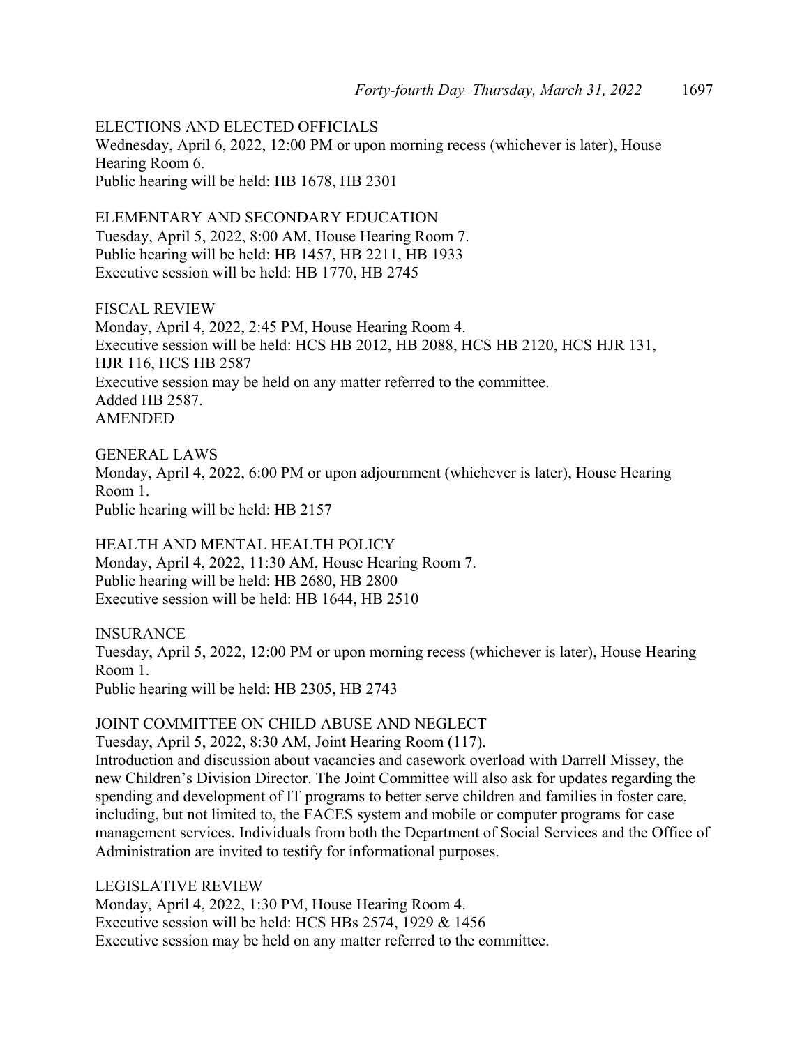ELECTIONS AND ELECTED OFFICIALS Wednesday, April 6, 2022, 12:00 PM or upon morning recess (whichever is later), House Hearing Room 6. Public hearing will be held: HB 1678, HB 2301

ELEMENTARY AND SECONDARY EDUCATION Tuesday, April 5, 2022, 8:00 AM, House Hearing Room 7. Public hearing will be held: HB 1457, HB 2211, HB 1933 Executive session will be held: HB 1770, HB 2745

FISCAL REVIEW Monday, April 4, 2022, 2:45 PM, House Hearing Room 4. Executive session will be held: HCS HB 2012, HB 2088, HCS HB 2120, HCS HJR 131, HJR 116, HCS HB 2587 Executive session may be held on any matter referred to the committee. Added HB 2587. AMENDED

GENERAL LAWS Monday, April 4, 2022, 6:00 PM or upon adjournment (whichever is later), House Hearing Room 1. Public hearing will be held: HB 2157

HEALTH AND MENTAL HEALTH POLICY Monday, April 4, 2022, 11:30 AM, House Hearing Room 7. Public hearing will be held: HB 2680, HB 2800 Executive session will be held: HB 1644, HB 2510

INSURANCE Tuesday, April 5, 2022, 12:00 PM or upon morning recess (whichever is later), House Hearing Room 1. Public hearing will be held: HB 2305, HB 2743

JOINT COMMITTEE ON CHILD ABUSE AND NEGLECT

Tuesday, April 5, 2022, 8:30 AM, Joint Hearing Room (117).

Introduction and discussion about vacancies and casework overload with Darrell Missey, the new Children's Division Director. The Joint Committee will also ask for updates regarding the spending and development of IT programs to better serve children and families in foster care, including, but not limited to, the FACES system and mobile or computer programs for case management services. Individuals from both the Department of Social Services and the Office of Administration are invited to testify for informational purposes.

LEGISLATIVE REVIEW Monday, April 4, 2022, 1:30 PM, House Hearing Room 4. Executive session will be held: HCS HBs 2574, 1929 & 1456 Executive session may be held on any matter referred to the committee.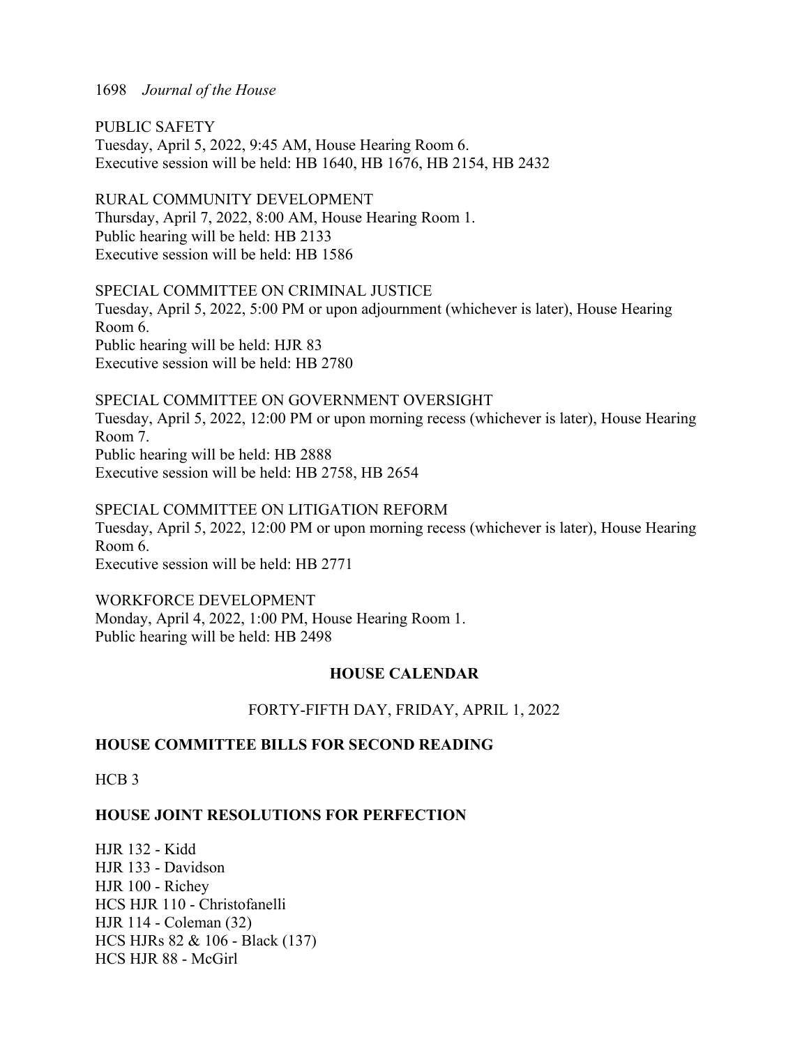PUBLIC SAFETY Tuesday, April 5, 2022, 9:45 AM, House Hearing Room 6. Executive session will be held: HB 1640, HB 1676, HB 2154, HB 2432

RURAL COMMUNITY DEVELOPMENT Thursday, April 7, 2022, 8:00 AM, House Hearing Room 1. Public hearing will be held: HB 2133 Executive session will be held: HB 1586

SPECIAL COMMITTEE ON CRIMINAL JUSTICE Tuesday, April 5, 2022, 5:00 PM or upon adjournment (whichever is later), House Hearing Room 6. Public hearing will be held: HJR 83 Executive session will be held: HB 2780

SPECIAL COMMITTEE ON GOVERNMENT OVERSIGHT Tuesday, April 5, 2022, 12:00 PM or upon morning recess (whichever is later), House Hearing Room 7. Public hearing will be held: HB 2888 Executive session will be held: HB 2758, HB 2654

SPECIAL COMMITTEE ON LITIGATION REFORM Tuesday, April 5, 2022, 12:00 PM or upon morning recess (whichever is later), House Hearing Room 6. Executive session will be held: HB 2771

WORKFORCE DEVELOPMENT Monday, April 4, 2022, 1:00 PM, House Hearing Room 1. Public hearing will be held: HB 2498

## **HOUSE CALENDAR**

FORTY-FIFTH DAY, FRIDAY, APRIL 1, 2022

## **HOUSE COMMITTEE BILLS FOR SECOND READING**

HCB<sub>3</sub>

## **HOUSE JOINT RESOLUTIONS FOR PERFECTION**

HJR 132 - Kidd HJR 133 - Davidson HJR 100 - Richey HCS HJR 110 - Christofanelli HJR 114 - Coleman (32) HCS HJRs 82 & 106 - Black (137) HCS HJR 88 - McGirl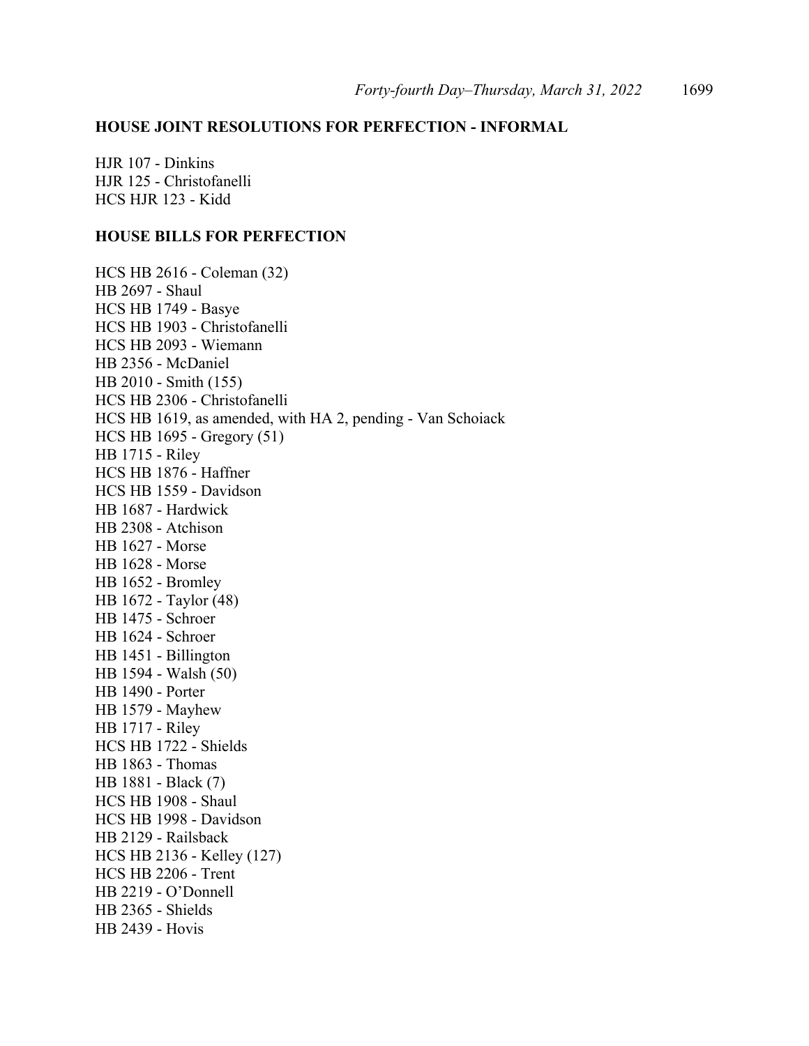## **HOUSE JOINT RESOLUTIONS FOR PERFECTION - INFORMAL**

HJR 107 - Dinkins HJR 125 - Christofanelli HCS HJR 123 - Kidd

## **HOUSE BILLS FOR PERFECTION**

HCS HB 2616 - Coleman (32) HB 2697 - Shaul HCS HB 1749 - Basye HCS HB 1903 - Christofanelli HCS HB 2093 - Wiemann HB 2356 - McDaniel HB 2010 - Smith (155) HCS HB 2306 - Christofanelli HCS HB 1619, as amended, with HA 2, pending - Van Schoiack HCS HB 1695 - Gregory (51) HB 1715 - Riley HCS HB 1876 - Haffner HCS HB 1559 - Davidson HB 1687 - Hardwick HB 2308 - Atchison HB 1627 - Morse HB 1628 - Morse HB 1652 - Bromley HB 1672 - Taylor (48) HB 1475 - Schroer HB 1624 - Schroer HB 1451 - Billington HB 1594 - Walsh (50) HB 1490 - Porter HB 1579 - Mayhew HB 1717 - Riley HCS HB 1722 - Shields HB 1863 - Thomas HB 1881 - Black (7) HCS HB 1908 - Shaul HCS HB 1998 - Davidson HB 2129 - Railsback HCS HB 2136 - Kelley (127) HCS HB 2206 - Trent HB 2219 - O'Donnell HB 2365 - Shields HB 2439 - Hovis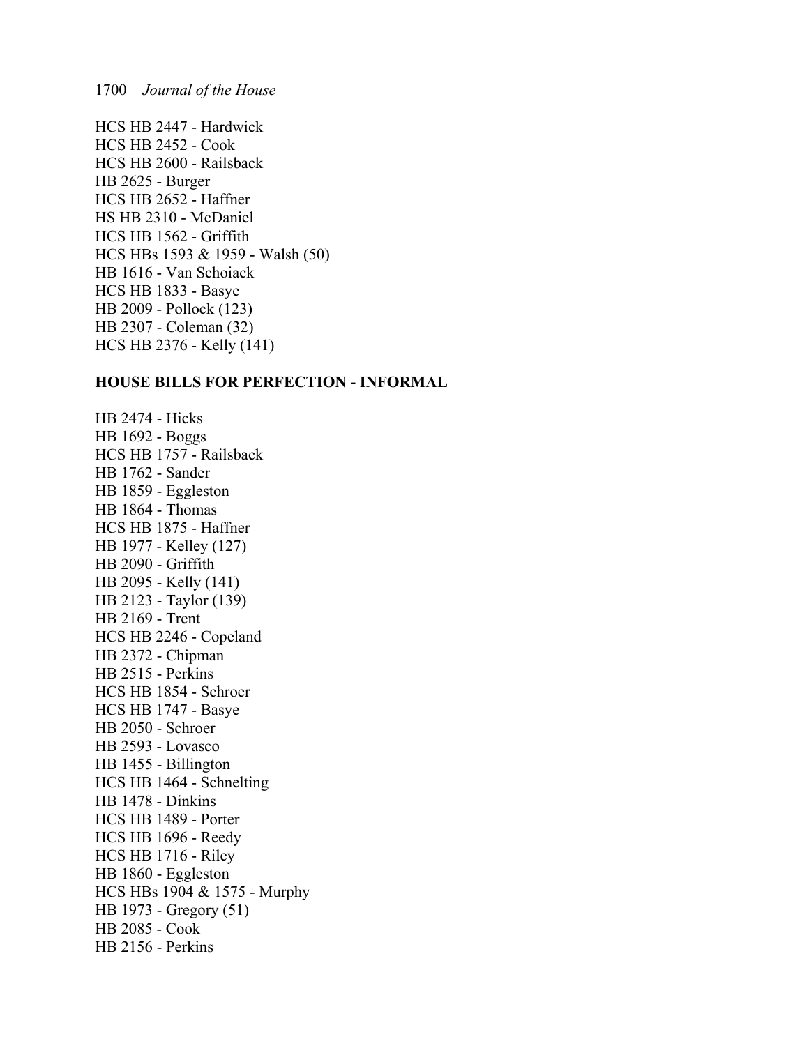HCS HB 2447 - Hardwick HCS HB 2452 - Cook HCS HB 2600 - Railsback HB 2625 - Burger HCS HB 2652 - Haffner HS HB 2310 - McDaniel HCS HB 1562 - Griffith HCS HBs 1593 & 1959 - Walsh (50) HB 1616 - Van Schoiack HCS HB 1833 - Basye HB 2009 - Pollock (123) HB 2307 - Coleman (32) HCS HB 2376 - Kelly (141)

#### **HOUSE BILLS FOR PERFECTION - INFORMAL**

HB 2474 - Hicks HB 1692 - Boggs HCS HB 1757 - Railsback HB 1762 - Sander HB 1859 - Eggleston HB 1864 - Thomas HCS HB 1875 - Haffner HB 1977 - Kelley (127) HB 2090 - Griffith HB 2095 - Kelly (141) HB 2123 - Taylor (139) HB 2169 - Trent HCS HB 2246 - Copeland HB 2372 - Chipman HB 2515 - Perkins HCS HB 1854 - Schroer HCS HB 1747 - Basye HB 2050 - Schroer HB 2593 - Lovasco HB 1455 - Billington HCS HB 1464 - Schnelting HB 1478 - Dinkins HCS HB 1489 - Porter HCS HB 1696 - Reedy HCS HB 1716 - Riley HB 1860 - Eggleston HCS HBs 1904 & 1575 - Murphy HB 1973 - Gregory (51) HB 2085 - Cook HB 2156 - Perkins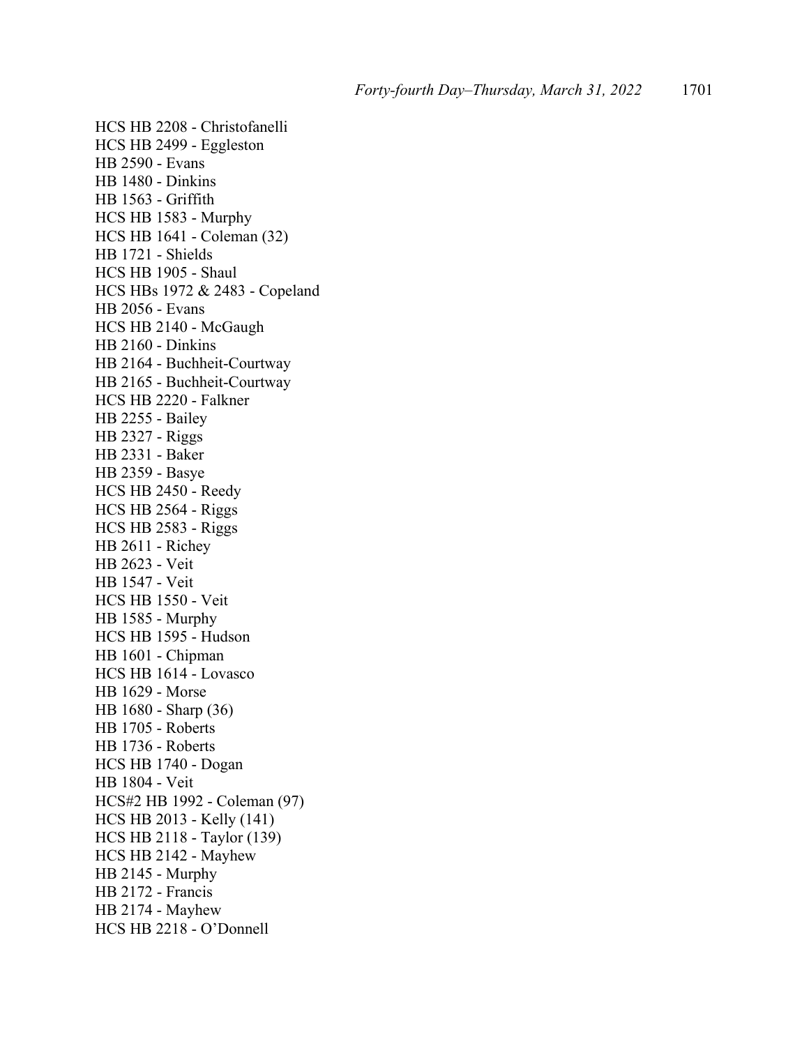HCS HB 2208 - Christofanelli HCS HB 2499 - Eggleston HB 2590 - Evans HB 1480 - Dinkins HB 1563 - Griffith HCS HB 1583 - Murphy HCS HB 1641 - Coleman (32) HB 1721 - Shields HCS HB 1905 - Shaul HCS HBs 1972 & 2483 - Copeland HB 2056 - Evans HCS HB 2140 - McGaugh HB 2160 - Dinkins HB 2164 - Buchheit-Courtway HB 2165 - Buchheit-Courtway HCS HB 2220 - Falkner HB 2255 - Bailey HB 2327 - Riggs HB 2331 - Baker HB 2359 - Basye HCS HB 2450 - Reedy HCS HB 2564 - Riggs HCS HB 2583 - Riggs HB 2611 - Richey HB 2623 - Veit HB 1547 - Veit HCS HB 1550 - Veit HB 1585 - Murphy HCS HB 1595 - Hudson HB 1601 - Chipman HCS HB 1614 - Lovasco HB 1629 - Morse HB 1680 - Sharp (36) HB 1705 - Roberts HB 1736 - Roberts HCS HB 1740 - Dogan HB 1804 - Veit HCS#2 HB 1992 - Coleman (97) HCS HB 2013 - Kelly (141) HCS HB 2118 - Taylor (139) HCS HB 2142 - Mayhew HB 2145 - Murphy HB 2172 - Francis HB 2174 - Mayhew HCS HB 2218 - O'Donnell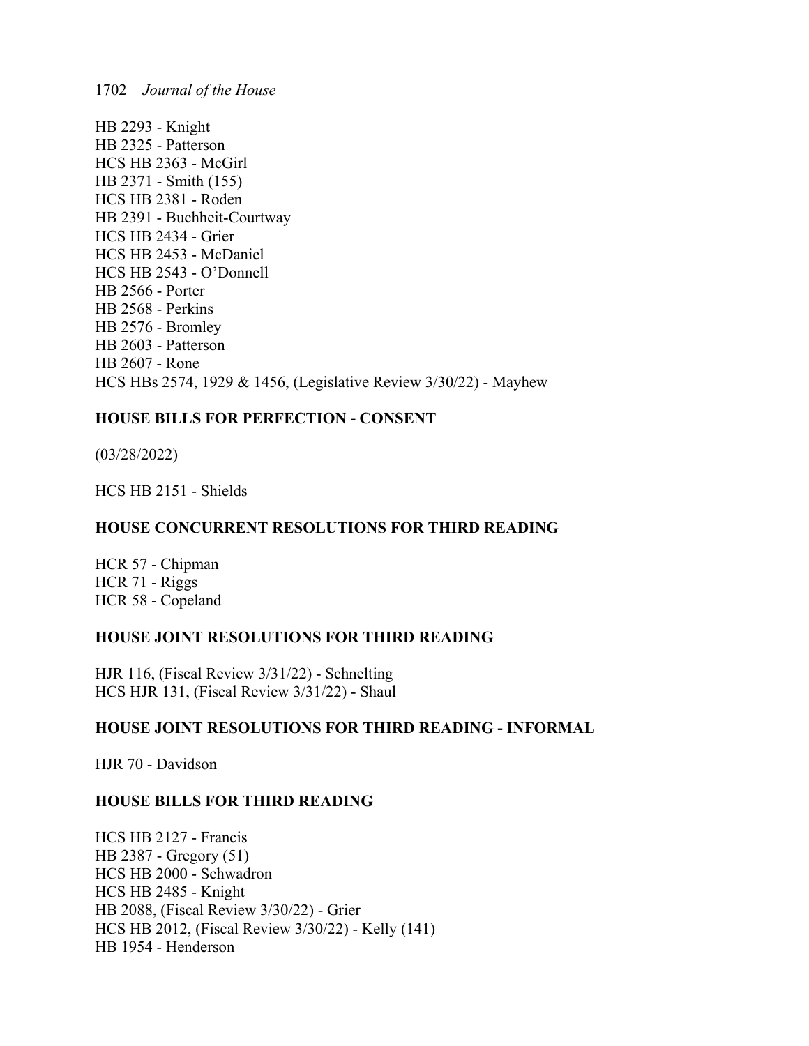HB 2293 - Knight HB 2325 - Patterson HCS HB 2363 - McGirl HB 2371 - Smith (155) HCS HB 2381 - Roden HB 2391 - Buchheit-Courtway HCS HB 2434 - Grier HCS HB 2453 - McDaniel HCS HB 2543 - O'Donnell HB 2566 - Porter HB 2568 - Perkins HB 2576 - Bromley HB 2603 - Patterson HB 2607 - Rone HCS HBs 2574, 1929 & 1456, (Legislative Review 3/30/22) - Mayhew

## **HOUSE BILLS FOR PERFECTION - CONSENT**

(03/28/2022)

HCS HB 2151 - Shields

## **HOUSE CONCURRENT RESOLUTIONS FOR THIRD READING**

HCR 57 - Chipman HCR 71 - Riggs HCR 58 - Copeland

### **HOUSE JOINT RESOLUTIONS FOR THIRD READING**

HJR 116, (Fiscal Review 3/31/22) - Schnelting HCS HJR 131, (Fiscal Review 3/31/22) - Shaul

## **HOUSE JOINT RESOLUTIONS FOR THIRD READING - INFORMAL**

HJR 70 - Davidson

## **HOUSE BILLS FOR THIRD READING**

HCS HB 2127 - Francis HB 2387 - Gregory (51) HCS HB 2000 - Schwadron HCS HB 2485 - Knight HB 2088, (Fiscal Review 3/30/22) - Grier HCS HB 2012, (Fiscal Review 3/30/22) - Kelly (141) HB 1954 - Henderson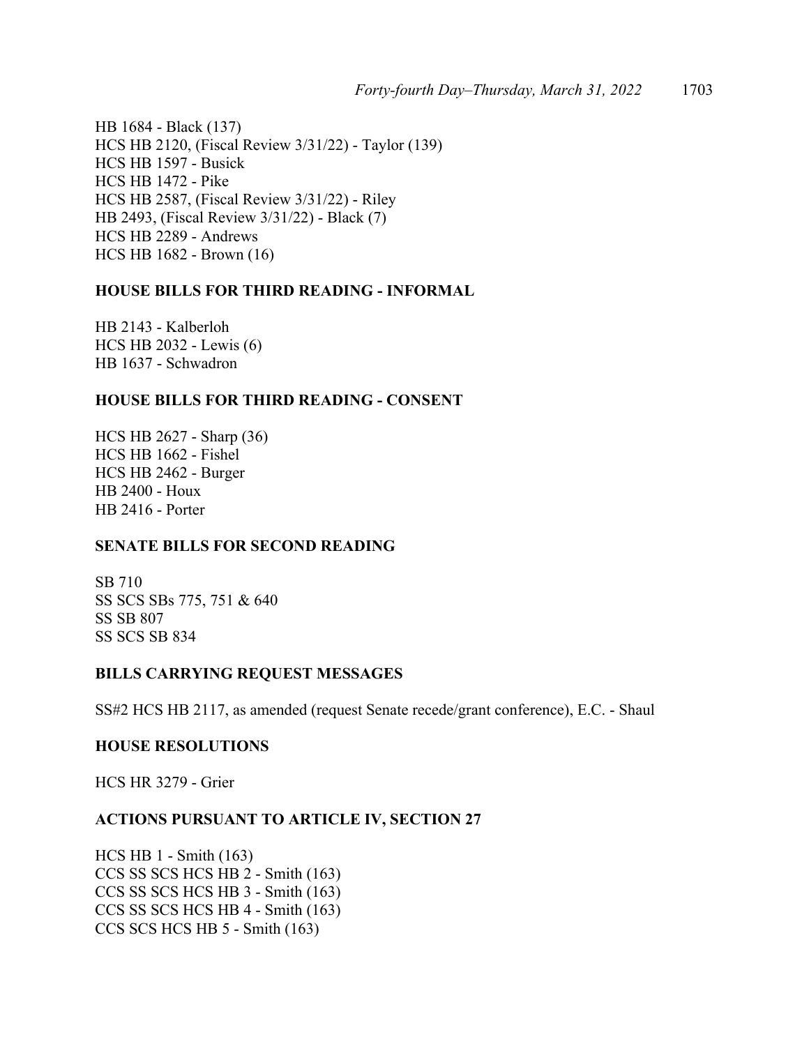HB 1684 - Black (137) HCS HB 2120, (Fiscal Review 3/31/22) - Taylor (139) HCS HB 1597 - Busick HCS HB 1472 - Pike HCS HB 2587, (Fiscal Review 3/31/22) - Riley HB 2493, (Fiscal Review 3/31/22) - Black (7) HCS HB 2289 - Andrews HCS HB 1682 - Brown (16)

## **HOUSE BILLS FOR THIRD READING - INFORMAL**

HB 2143 - Kalberloh HCS HB 2032 - Lewis (6) HB 1637 - Schwadron

## **HOUSE BILLS FOR THIRD READING - CONSENT**

HCS HB 2627 - Sharp (36) HCS HB 1662 - Fishel HCS HB 2462 - Burger HB 2400 - Houx HB 2416 - Porter

## **SENATE BILLS FOR SECOND READING**

SB 710 SS SCS SBs 775, 751 & 640 SS SB 807 SS SCS SB 834

#### **BILLS CARRYING REQUEST MESSAGES**

SS#2 HCS HB 2117, as amended (request Senate recede/grant conference), E.C. - Shaul

#### **HOUSE RESOLUTIONS**

HCS HR 3279 - Grier

### **ACTIONS PURSUANT TO ARTICLE IV, SECTION 27**

HCS HB 1 - Smith (163) CCS SS SCS HCS HB 2 - Smith (163) CCS SS SCS HCS HB 3 - Smith (163) CCS SS SCS HCS HB 4 - Smith (163) CCS SCS HCS HB 5 - Smith (163)